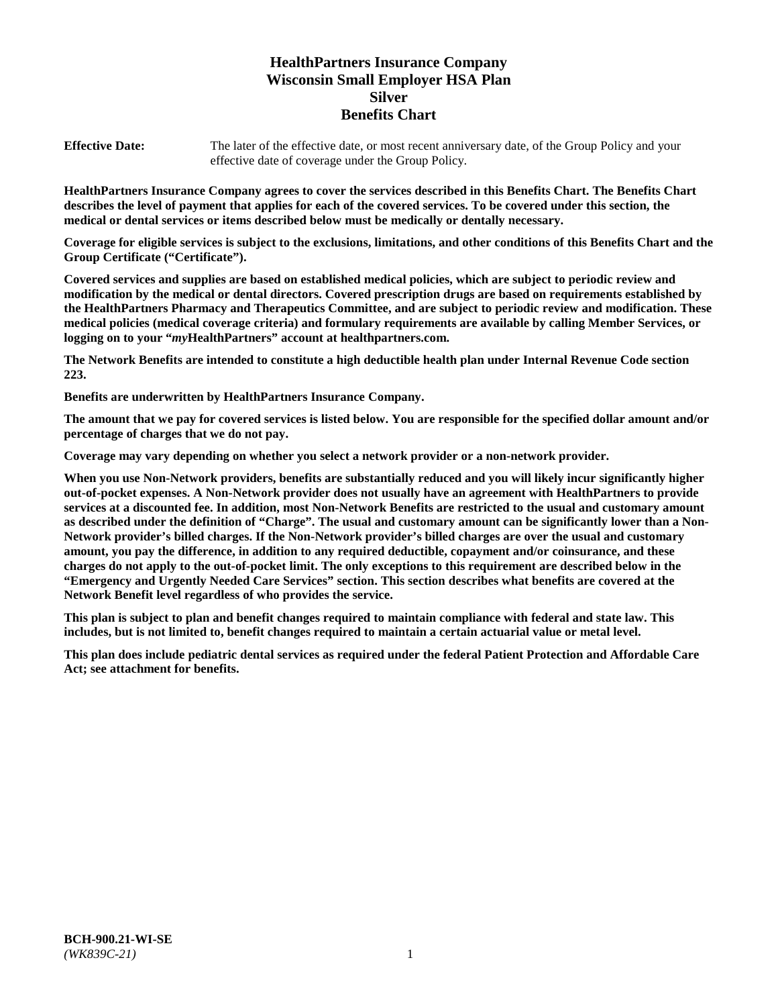# **HealthPartners Insurance Company Wisconsin Small Employer HSA Plan Silver Benefits Chart**

**Effective Date:** The later of the effective date, or most recent anniversary date, of the Group Policy and your effective date of coverage under the Group Policy.

**HealthPartners Insurance Company agrees to cover the services described in this Benefits Chart. The Benefits Chart describes the level of payment that applies for each of the covered services. To be covered under this section, the medical or dental services or items described below must be medically or dentally necessary.**

**Coverage for eligible services is subject to the exclusions, limitations, and other conditions of this Benefits Chart and the Group Certificate ("Certificate").**

**Covered services and supplies are based on established medical policies, which are subject to periodic review and modification by the medical or dental directors. Covered prescription drugs are based on requirements established by the HealthPartners Pharmacy and Therapeutics Committee, and are subject to periodic review and modification. These medical policies (medical coverage criteria) and formulary requirements are available by calling Member Services, or logging on to your "***my***HealthPartners" account at [healthpartners.com.](https://www.healthpartners.com/hp/index.html)**

**The Network Benefits are intended to constitute a high deductible health plan under Internal Revenue Code section 223.**

**Benefits are underwritten by HealthPartners Insurance Company.**

**The amount that we pay for covered services is listed below. You are responsible for the specified dollar amount and/or percentage of charges that we do not pay.**

**Coverage may vary depending on whether you select a network provider or a non-network provider.**

**When you use Non-Network providers, benefits are substantially reduced and you will likely incur significantly higher out-of-pocket expenses. A Non-Network provider does not usually have an agreement with HealthPartners to provide services at a discounted fee. In addition, most Non-Network Benefits are restricted to the usual and customary amount as described under the definition of "Charge". The usual and customary amount can be significantly lower than a Non-Network provider's billed charges. If the Non-Network provider's billed charges are over the usual and customary amount, you pay the difference, in addition to any required deductible, copayment and/or coinsurance, and these charges do not apply to the out-of-pocket limit. The only exceptions to this requirement are described below in the "Emergency and Urgently Needed Care Services" section. This section describes what benefits are covered at the Network Benefit level regardless of who provides the service.**

**This plan is subject to plan and benefit changes required to maintain compliance with federal and state law. This includes, but is not limited to, benefit changes required to maintain a certain actuarial value or metal level.**

**This plan does include pediatric dental services as required under the federal Patient Protection and Affordable Care Act; see attachment for benefits.**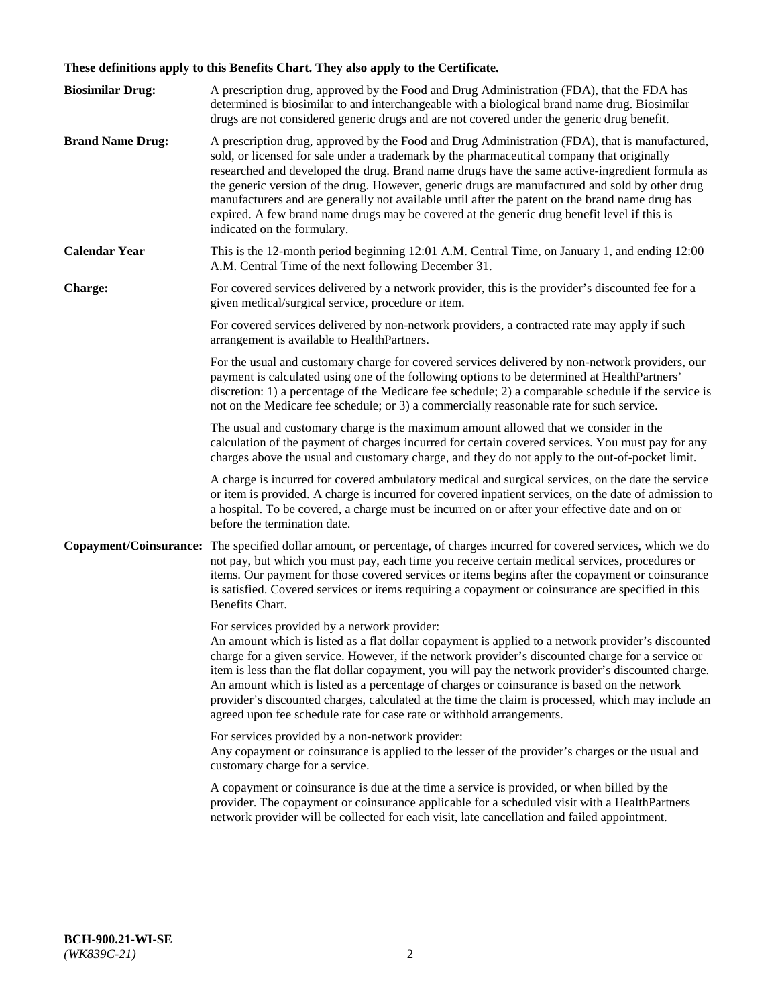# **These definitions apply to this Benefits Chart. They also apply to the Certificate.**

| <b>Biosimilar Drug:</b> | A prescription drug, approved by the Food and Drug Administration (FDA), that the FDA has<br>determined is biosimilar to and interchangeable with a biological brand name drug. Biosimilar<br>drugs are not considered generic drugs and are not covered under the generic drug benefit.                                                                                                                                                                                                                                                                                                                                                     |
|-------------------------|----------------------------------------------------------------------------------------------------------------------------------------------------------------------------------------------------------------------------------------------------------------------------------------------------------------------------------------------------------------------------------------------------------------------------------------------------------------------------------------------------------------------------------------------------------------------------------------------------------------------------------------------|
| <b>Brand Name Drug:</b> | A prescription drug, approved by the Food and Drug Administration (FDA), that is manufactured,<br>sold, or licensed for sale under a trademark by the pharmaceutical company that originally<br>researched and developed the drug. Brand name drugs have the same active-ingredient formula as<br>the generic version of the drug. However, generic drugs are manufactured and sold by other drug<br>manufacturers and are generally not available until after the patent on the brand name drug has<br>expired. A few brand name drugs may be covered at the generic drug benefit level if this is<br>indicated on the formulary.           |
| <b>Calendar Year</b>    | This is the 12-month period beginning 12:01 A.M. Central Time, on January 1, and ending 12:00<br>A.M. Central Time of the next following December 31.                                                                                                                                                                                                                                                                                                                                                                                                                                                                                        |
| <b>Charge:</b>          | For covered services delivered by a network provider, this is the provider's discounted fee for a<br>given medical/surgical service, procedure or item.                                                                                                                                                                                                                                                                                                                                                                                                                                                                                      |
|                         | For covered services delivered by non-network providers, a contracted rate may apply if such<br>arrangement is available to HealthPartners.                                                                                                                                                                                                                                                                                                                                                                                                                                                                                                  |
|                         | For the usual and customary charge for covered services delivered by non-network providers, our<br>payment is calculated using one of the following options to be determined at HealthPartners'<br>discretion: 1) a percentage of the Medicare fee schedule; 2) a comparable schedule if the service is<br>not on the Medicare fee schedule; or 3) a commercially reasonable rate for such service.                                                                                                                                                                                                                                          |
|                         | The usual and customary charge is the maximum amount allowed that we consider in the<br>calculation of the payment of charges incurred for certain covered services. You must pay for any<br>charges above the usual and customary charge, and they do not apply to the out-of-pocket limit.                                                                                                                                                                                                                                                                                                                                                 |
|                         | A charge is incurred for covered ambulatory medical and surgical services, on the date the service<br>or item is provided. A charge is incurred for covered inpatient services, on the date of admission to<br>a hospital. To be covered, a charge must be incurred on or after your effective date and on or<br>before the termination date.                                                                                                                                                                                                                                                                                                |
| Copayment/Coinsurance:  | The specified dollar amount, or percentage, of charges incurred for covered services, which we do<br>not pay, but which you must pay, each time you receive certain medical services, procedures or<br>items. Our payment for those covered services or items begins after the copayment or coinsurance<br>is satisfied. Covered services or items requiring a copayment or coinsurance are specified in this<br>Benefits Chart.                                                                                                                                                                                                             |
|                         | For services provided by a network provider:<br>An amount which is listed as a flat dollar copayment is applied to a network provider's discounted<br>charge for a given service. However, if the network provider's discounted charge for a service or<br>item is less than the flat dollar copayment, you will pay the network provider's discounted charge.<br>An amount which is listed as a percentage of charges or coinsurance is based on the network<br>provider's discounted charges, calculated at the time the claim is processed, which may include an<br>agreed upon fee schedule rate for case rate or withhold arrangements. |
|                         | For services provided by a non-network provider:<br>Any copayment or coinsurance is applied to the lesser of the provider's charges or the usual and<br>customary charge for a service.                                                                                                                                                                                                                                                                                                                                                                                                                                                      |
|                         | A copayment or coinsurance is due at the time a service is provided, or when billed by the<br>provider. The copayment or coinsurance applicable for a scheduled visit with a HealthPartners<br>network provider will be collected for each visit, late cancellation and failed appointment.                                                                                                                                                                                                                                                                                                                                                  |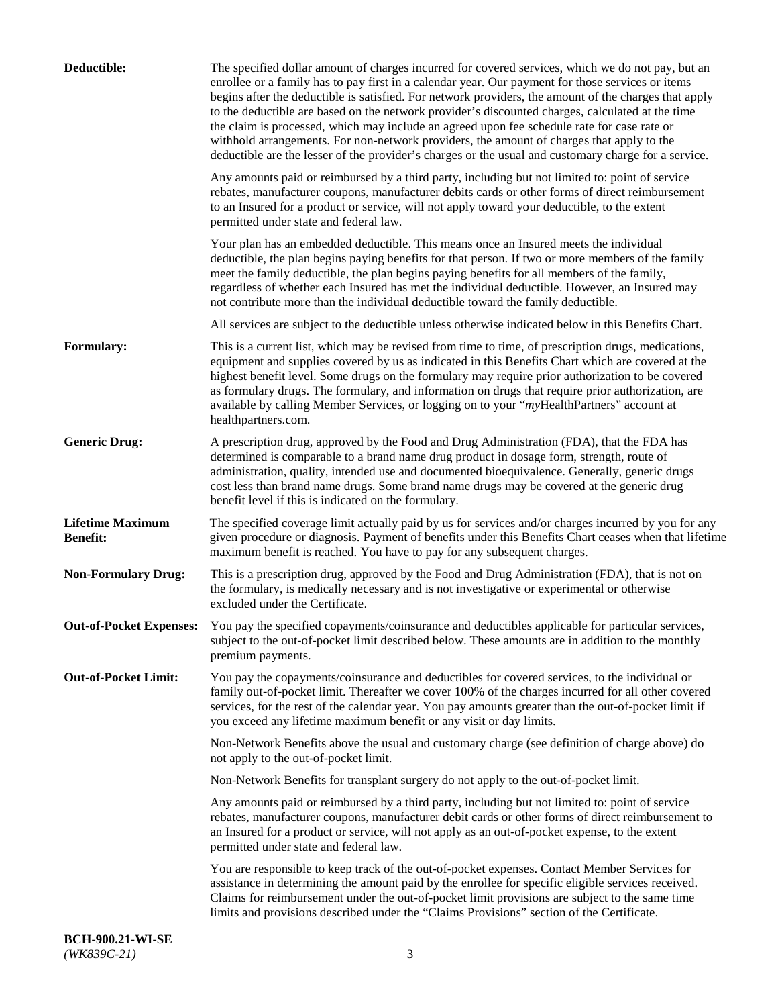| Deductible:                                | The specified dollar amount of charges incurred for covered services, which we do not pay, but an<br>enrollee or a family has to pay first in a calendar year. Our payment for those services or items<br>begins after the deductible is satisfied. For network providers, the amount of the charges that apply<br>to the deductible are based on the network provider's discounted charges, calculated at the time<br>the claim is processed, which may include an agreed upon fee schedule rate for case rate or<br>withhold arrangements. For non-network providers, the amount of charges that apply to the<br>deductible are the lesser of the provider's charges or the usual and customary charge for a service. |
|--------------------------------------------|-------------------------------------------------------------------------------------------------------------------------------------------------------------------------------------------------------------------------------------------------------------------------------------------------------------------------------------------------------------------------------------------------------------------------------------------------------------------------------------------------------------------------------------------------------------------------------------------------------------------------------------------------------------------------------------------------------------------------|
|                                            | Any amounts paid or reimbursed by a third party, including but not limited to: point of service<br>rebates, manufacturer coupons, manufacturer debits cards or other forms of direct reimbursement<br>to an Insured for a product or service, will not apply toward your deductible, to the extent<br>permitted under state and federal law.                                                                                                                                                                                                                                                                                                                                                                            |
|                                            | Your plan has an embedded deductible. This means once an Insured meets the individual<br>deductible, the plan begins paying benefits for that person. If two or more members of the family<br>meet the family deductible, the plan begins paying benefits for all members of the family,<br>regardless of whether each Insured has met the individual deductible. However, an Insured may<br>not contribute more than the individual deductible toward the family deductible.                                                                                                                                                                                                                                           |
|                                            | All services are subject to the deductible unless otherwise indicated below in this Benefits Chart.                                                                                                                                                                                                                                                                                                                                                                                                                                                                                                                                                                                                                     |
| <b>Formulary:</b>                          | This is a current list, which may be revised from time to time, of prescription drugs, medications,<br>equipment and supplies covered by us as indicated in this Benefits Chart which are covered at the<br>highest benefit level. Some drugs on the formulary may require prior authorization to be covered<br>as formulary drugs. The formulary, and information on drugs that require prior authorization, are<br>available by calling Member Services, or logging on to your "myHealthPartners" account at<br>healthpartners.com.                                                                                                                                                                                   |
| <b>Generic Drug:</b>                       | A prescription drug, approved by the Food and Drug Administration (FDA), that the FDA has<br>determined is comparable to a brand name drug product in dosage form, strength, route of<br>administration, quality, intended use and documented bioequivalence. Generally, generic drugs<br>cost less than brand name drugs. Some brand name drugs may be covered at the generic drug<br>benefit level if this is indicated on the formulary.                                                                                                                                                                                                                                                                             |
| <b>Lifetime Maximum</b><br><b>Benefit:</b> | The specified coverage limit actually paid by us for services and/or charges incurred by you for any<br>given procedure or diagnosis. Payment of benefits under this Benefits Chart ceases when that lifetime<br>maximum benefit is reached. You have to pay for any subsequent charges.                                                                                                                                                                                                                                                                                                                                                                                                                                |
| <b>Non-Formulary Drug:</b>                 | This is a prescription drug, approved by the Food and Drug Administration (FDA), that is not on<br>the formulary, is medically necessary and is not investigative or experimental or otherwise<br>excluded under the Certificate.                                                                                                                                                                                                                                                                                                                                                                                                                                                                                       |
|                                            | Out-of-Pocket Expenses: You pay the specified copayments/coinsurance and deductibles applicable for particular services,<br>subject to the out-of-pocket limit described below. These amounts are in addition to the monthly<br>premium payments.                                                                                                                                                                                                                                                                                                                                                                                                                                                                       |
| <b>Out-of-Pocket Limit:</b>                | You pay the copayments/coinsurance and deductibles for covered services, to the individual or<br>family out-of-pocket limit. Thereafter we cover 100% of the charges incurred for all other covered<br>services, for the rest of the calendar year. You pay amounts greater than the out-of-pocket limit if<br>you exceed any lifetime maximum benefit or any visit or day limits.                                                                                                                                                                                                                                                                                                                                      |
|                                            | Non-Network Benefits above the usual and customary charge (see definition of charge above) do<br>not apply to the out-of-pocket limit.                                                                                                                                                                                                                                                                                                                                                                                                                                                                                                                                                                                  |
|                                            | Non-Network Benefits for transplant surgery do not apply to the out-of-pocket limit.                                                                                                                                                                                                                                                                                                                                                                                                                                                                                                                                                                                                                                    |
|                                            | Any amounts paid or reimbursed by a third party, including but not limited to: point of service<br>rebates, manufacturer coupons, manufacturer debit cards or other forms of direct reimbursement to<br>an Insured for a product or service, will not apply as an out-of-pocket expense, to the extent<br>permitted under state and federal law.                                                                                                                                                                                                                                                                                                                                                                        |
|                                            | You are responsible to keep track of the out-of-pocket expenses. Contact Member Services for<br>assistance in determining the amount paid by the enrollee for specific eligible services received.<br>Claims for reimbursement under the out-of-pocket limit provisions are subject to the same time<br>limits and provisions described under the "Claims Provisions" section of the Certificate.                                                                                                                                                                                                                                                                                                                       |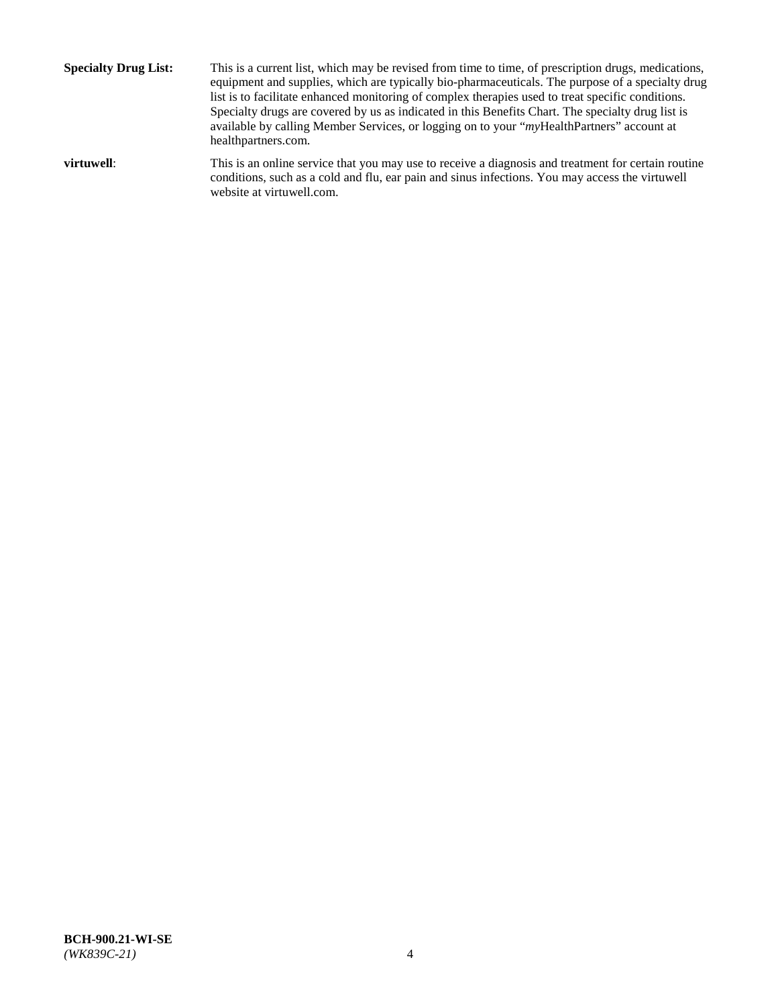**Specialty Drug List:** This is a current list, which may be revised from time to time, of prescription drugs, medications, equipment and supplies, which are typically bio-pharmaceuticals. The purpose of a specialty drug list is to facilitate enhanced monitoring of complex therapies used to treat specific conditions. Specialty drugs are covered by us as indicated in this Benefits Chart. The specialty drug list is available by calling Member Services, or logging on to your "*my*HealthPartners" account at [healthpartners.com.](http://www.healthpartners.com/) **virtuwell:** This is an online service that you may use to receive a diagnosis and treatment for certain routine conditions, such as a cold and flu, ear pain and sinus infections. You may access the virtuwell

website at [virtuwell.com.](http://www.virtuwell.com/)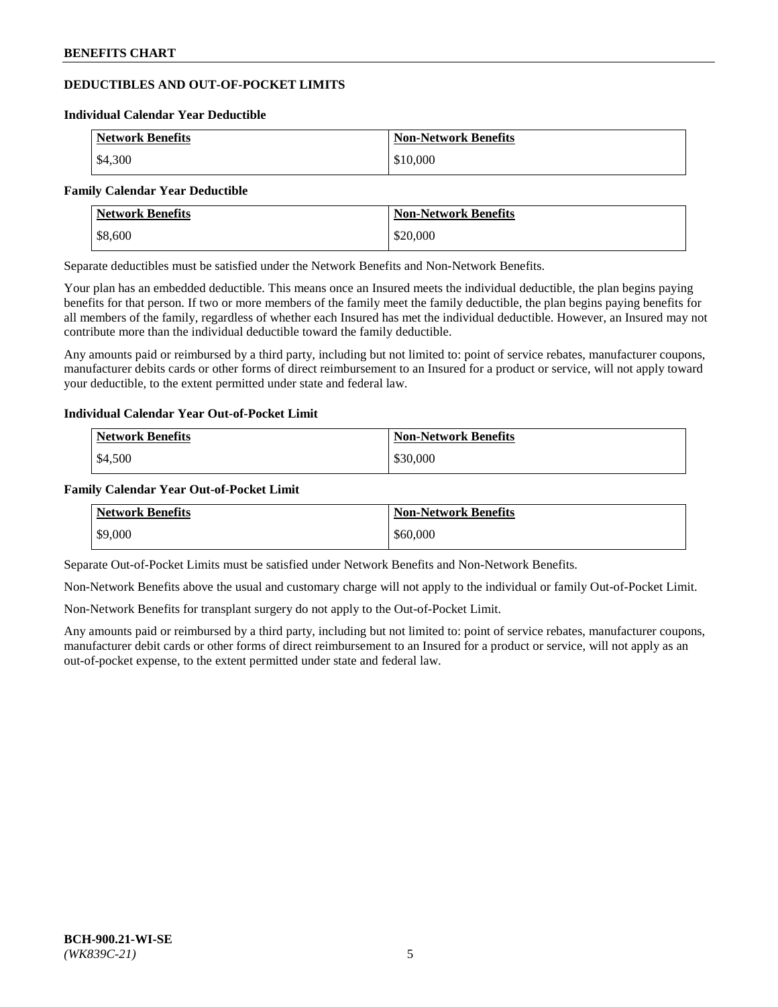## **DEDUCTIBLES AND OUT-OF-POCKET LIMITS**

#### **Individual Calendar Year Deductible**

| <b>Network Benefits</b> | <b>Non-Network Benefits</b> |
|-------------------------|-----------------------------|
| \$4,300                 | \$10,000                    |

#### **Family Calendar Year Deductible**

| <b>Network Benefits</b> | <b>Non-Network Benefits</b> |
|-------------------------|-----------------------------|
| \$8,600                 | \$20,000                    |

Separate deductibles must be satisfied under the Network Benefits and Non-Network Benefits.

Your plan has an embedded deductible. This means once an Insured meets the individual deductible, the plan begins paying benefits for that person. If two or more members of the family meet the family deductible, the plan begins paying benefits for all members of the family, regardless of whether each Insured has met the individual deductible. However, an Insured may not contribute more than the individual deductible toward the family deductible.

Any amounts paid or reimbursed by a third party, including but not limited to: point of service rebates, manufacturer coupons, manufacturer debits cards or other forms of direct reimbursement to an Insured for a product or service, will not apply toward your deductible, to the extent permitted under state and federal law.

## **Individual Calendar Year Out-of-Pocket Limit**

| <b>Network Benefits</b> | <b>Non-Network Benefits</b> |
|-------------------------|-----------------------------|
| \$4,500                 | \$30,000                    |

### **Family Calendar Year Out-of-Pocket Limit**

| <b>Network Benefits</b> | <b>Non-Network Benefits</b> |
|-------------------------|-----------------------------|
| \$9,000                 | \$60,000                    |

Separate Out-of-Pocket Limits must be satisfied under Network Benefits and Non-Network Benefits.

Non-Network Benefits above the usual and customary charge will not apply to the individual or family Out-of-Pocket Limit.

Non-Network Benefits for transplant surgery do not apply to the Out-of-Pocket Limit.

Any amounts paid or reimbursed by a third party, including but not limited to: point of service rebates, manufacturer coupons, manufacturer debit cards or other forms of direct reimbursement to an Insured for a product or service, will not apply as an out-of-pocket expense, to the extent permitted under state and federal law.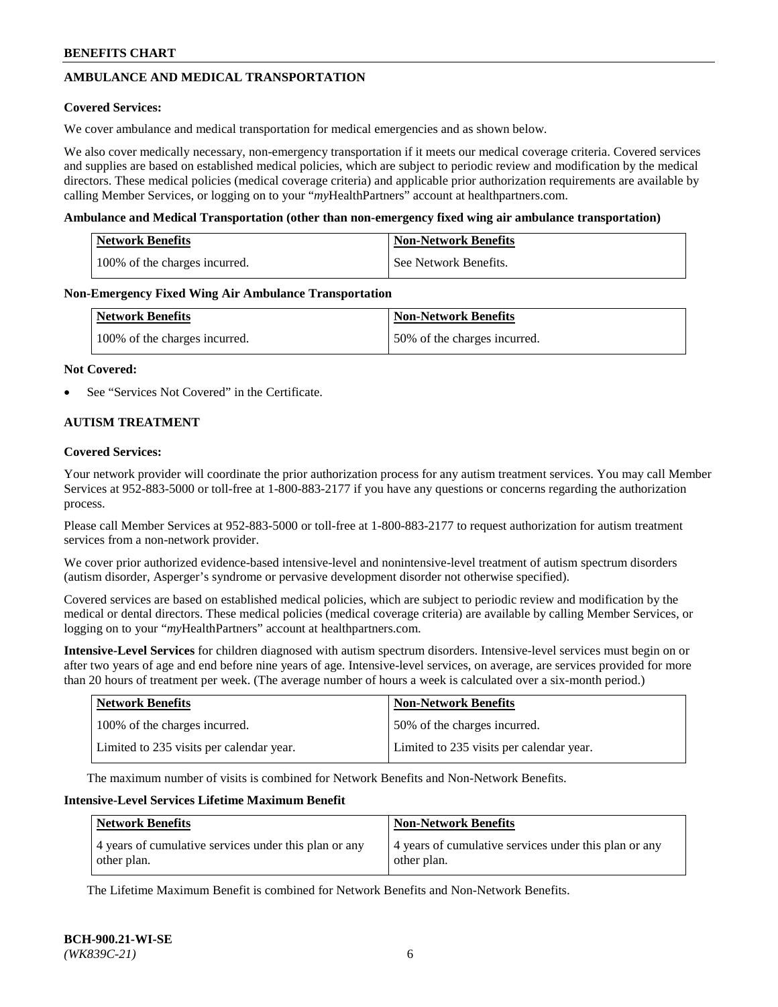## **AMBULANCE AND MEDICAL TRANSPORTATION**

### **Covered Services:**

We cover ambulance and medical transportation for medical emergencies and as shown below.

We also cover medically necessary, non-emergency transportation if it meets our medical coverage criteria. Covered services and supplies are based on established medical policies, which are subject to periodic review and modification by the medical directors. These medical policies (medical coverage criteria) and applicable prior authorization requirements are available by calling Member Services, or logging on to your "*my*HealthPartners" account a[t healthpartners.com.](https://www.healthpartners.com/hp/index.html)

### **Ambulance and Medical Transportation (other than non-emergency fixed wing air ambulance transportation)**

| <b>Network Benefits</b>       | <b>Non-Network Benefits</b> |
|-------------------------------|-----------------------------|
| 100% of the charges incurred. | See Network Benefits.       |

### **Non-Emergency Fixed Wing Air Ambulance Transportation**

| <b>Network Benefits</b>       | <b>Non-Network Benefits</b>  |
|-------------------------------|------------------------------|
| 100% of the charges incurred. | 50% of the charges incurred. |

### **Not Covered:**

See "Services Not Covered" in the Certificate.

## **AUTISM TREATMENT**

### **Covered Services:**

Your network provider will coordinate the prior authorization process for any autism treatment services. You may call Member Services at 952-883-5000 or toll-free at 1-800-883-2177 if you have any questions or concerns regarding the authorization process.

Please call Member Services at 952-883-5000 or toll-free at 1-800-883-2177 to request authorization for autism treatment services from a non-network provider.

We cover prior authorized evidence-based intensive-level and nonintensive-level treatment of autism spectrum disorders (autism disorder, Asperger's syndrome or pervasive development disorder not otherwise specified).

Covered services are based on established medical policies, which are subject to periodic review and modification by the medical or dental directors. These medical policies (medical coverage criteria) are available by calling Member Services, or logging on to your "*my*HealthPartners" account at [healthpartners.com.](https://www.healthpartners.com/hp/index.html)

**Intensive-Level Services** for children diagnosed with autism spectrum disorders. Intensive-level services must begin on or after two years of age and end before nine years of age. Intensive-level services, on average, are services provided for more than 20 hours of treatment per week. (The average number of hours a week is calculated over a six-month period.)

| <b>Network Benefits</b>                  | <b>Non-Network Benefits</b>              |
|------------------------------------------|------------------------------------------|
| 100% of the charges incurred.            | 50% of the charges incurred.             |
| Limited to 235 visits per calendar year. | Limited to 235 visits per calendar year. |

The maximum number of visits is combined for Network Benefits and Non-Network Benefits.

### **Intensive-Level Services Lifetime Maximum Benefit**

| Network Benefits                                      | <b>Non-Network Benefits</b>                           |
|-------------------------------------------------------|-------------------------------------------------------|
| 4 years of cumulative services under this plan or any | 4 years of cumulative services under this plan or any |
| other plan.                                           | other plan.                                           |

The Lifetime Maximum Benefit is combined for Network Benefits and Non-Network Benefits.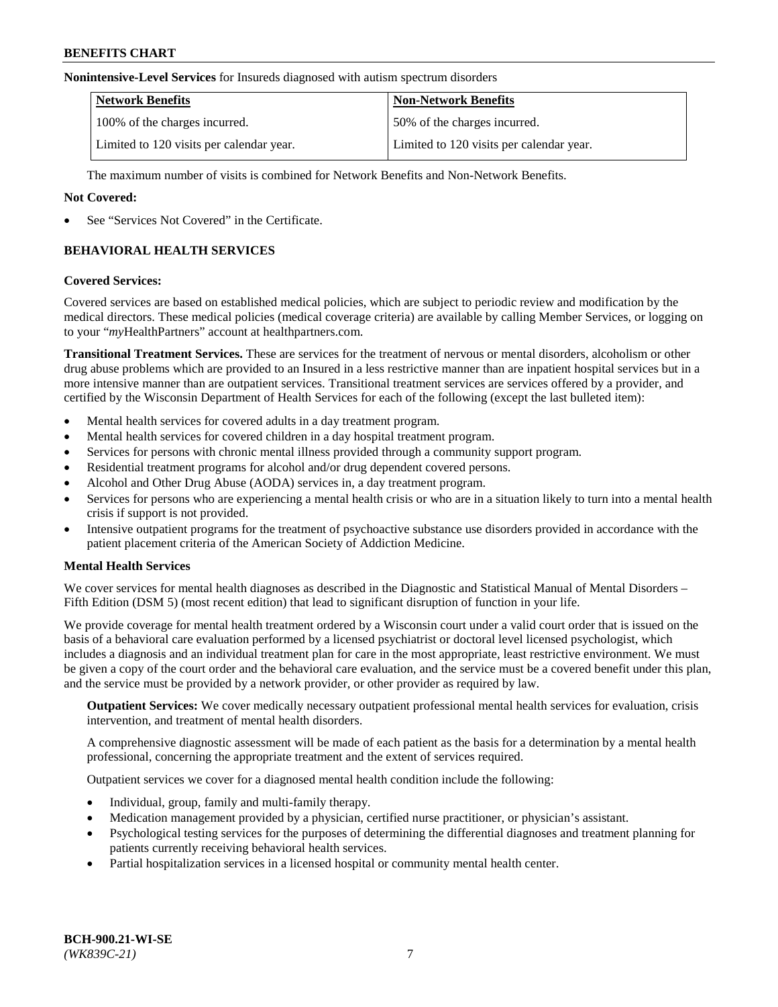#### **Nonintensive-Level Services** for Insureds diagnosed with autism spectrum disorders

| <b>Network Benefits</b>                  | <b>Non-Network Benefits</b>              |
|------------------------------------------|------------------------------------------|
| 100% of the charges incurred.            | 50% of the charges incurred.             |
| Limited to 120 visits per calendar year. | Limited to 120 visits per calendar year. |

The maximum number of visits is combined for Network Benefits and Non-Network Benefits.

### **Not Covered:**

See "Services Not Covered" in the Certificate.

## **BEHAVIORAL HEALTH SERVICES**

### **Covered Services:**

Covered services are based on established medical policies, which are subject to periodic review and modification by the medical directors. These medical policies (medical coverage criteria) are available by calling Member Services, or logging on to your "*my*HealthPartners" account at [healthpartners.com.](https://www.healthpartners.com/hp/index.html)

**Transitional Treatment Services.** These are services for the treatment of nervous or mental disorders, alcoholism or other drug abuse problems which are provided to an Insured in a less restrictive manner than are inpatient hospital services but in a more intensive manner than are outpatient services. Transitional treatment services are services offered by a provider, and certified by the Wisconsin Department of Health Services for each of the following (except the last bulleted item):

- Mental health services for covered adults in a day treatment program.
- Mental health services for covered children in a day hospital treatment program.
- Services for persons with chronic mental illness provided through a community support program.
- Residential treatment programs for alcohol and/or drug dependent covered persons.
- Alcohol and Other Drug Abuse (AODA) services in, a day treatment program.
- Services for persons who are experiencing a mental health crisis or who are in a situation likely to turn into a mental health crisis if support is not provided.
- Intensive outpatient programs for the treatment of psychoactive substance use disorders provided in accordance with the patient placement criteria of the American Society of Addiction Medicine.

## **Mental Health Services**

We cover services for mental health diagnoses as described in the Diagnostic and Statistical Manual of Mental Disorders – Fifth Edition (DSM 5) (most recent edition) that lead to significant disruption of function in your life.

We provide coverage for mental health treatment ordered by a Wisconsin court under a valid court order that is issued on the basis of a behavioral care evaluation performed by a licensed psychiatrist or doctoral level licensed psychologist, which includes a diagnosis and an individual treatment plan for care in the most appropriate, least restrictive environment. We must be given a copy of the court order and the behavioral care evaluation, and the service must be a covered benefit under this plan, and the service must be provided by a network provider, or other provider as required by law.

**Outpatient Services:** We cover medically necessary outpatient professional mental health services for evaluation, crisis intervention, and treatment of mental health disorders.

A comprehensive diagnostic assessment will be made of each patient as the basis for a determination by a mental health professional, concerning the appropriate treatment and the extent of services required.

Outpatient services we cover for a diagnosed mental health condition include the following:

- Individual, group, family and multi-family therapy.
- Medication management provided by a physician, certified nurse practitioner, or physician's assistant.
- Psychological testing services for the purposes of determining the differential diagnoses and treatment planning for patients currently receiving behavioral health services.
- Partial hospitalization services in a licensed hospital or community mental health center.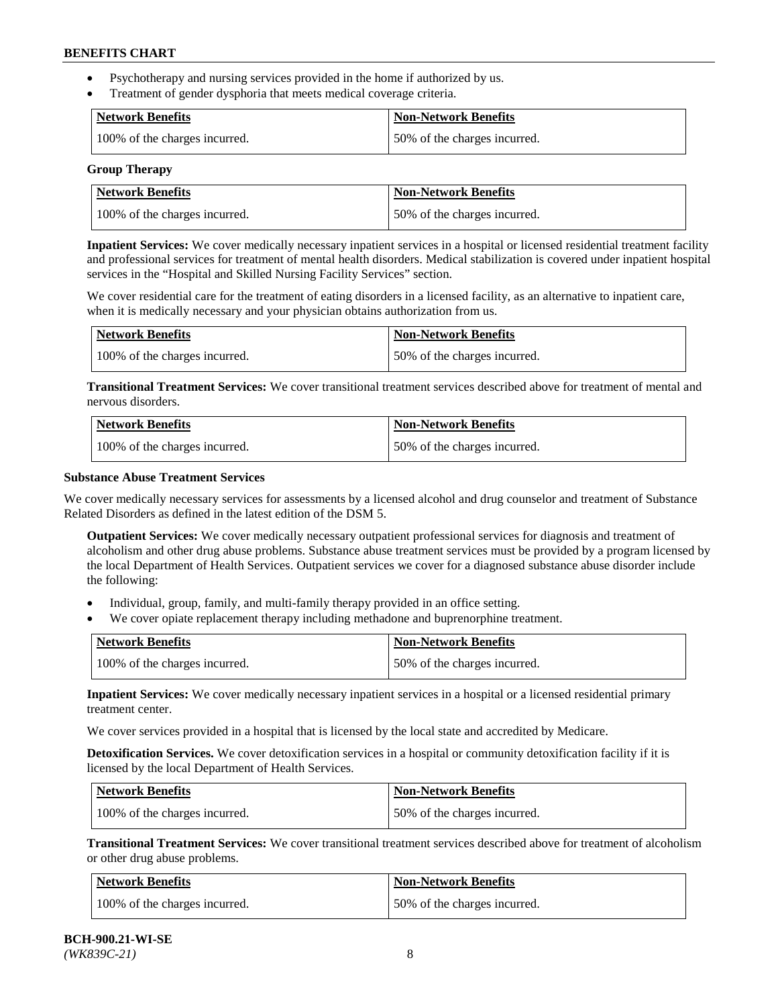- Psychotherapy and nursing services provided in the home if authorized by us.
- Treatment of gender dysphoria that meets medical coverage criteria.

| <b>Network Benefits</b>       | Non-Network Benefits         |
|-------------------------------|------------------------------|
| 100% of the charges incurred. | 50% of the charges incurred. |

#### **Group Therapy**

| Network Benefits              | <b>Non-Network Benefits</b>  |
|-------------------------------|------------------------------|
| 100% of the charges incurred. | 50% of the charges incurred. |

**Inpatient Services:** We cover medically necessary inpatient services in a hospital or licensed residential treatment facility and professional services for treatment of mental health disorders. Medical stabilization is covered under inpatient hospital services in the "Hospital and Skilled Nursing Facility Services" section.

We cover residential care for the treatment of eating disorders in a licensed facility, as an alternative to inpatient care, when it is medically necessary and your physician obtains authorization from us.

| Network Benefits              | <b>Non-Network Benefits</b>  |
|-------------------------------|------------------------------|
| 100% of the charges incurred. | 50% of the charges incurred. |

**Transitional Treatment Services:** We cover transitional treatment services described above for treatment of mental and nervous disorders.

| <b>Network Benefits</b>       | <b>Non-Network Benefits</b>  |
|-------------------------------|------------------------------|
| 100% of the charges incurred. | 50% of the charges incurred. |

### **Substance Abuse Treatment Services**

We cover medically necessary services for assessments by a licensed alcohol and drug counselor and treatment of Substance Related Disorders as defined in the latest edition of the DSM 5.

**Outpatient Services:** We cover medically necessary outpatient professional services for diagnosis and treatment of alcoholism and other drug abuse problems. Substance abuse treatment services must be provided by a program licensed by the local Department of Health Services. Outpatient services we cover for a diagnosed substance abuse disorder include the following:

- Individual, group, family, and multi-family therapy provided in an office setting.
- We cover opiate replacement therapy including methadone and buprenorphine treatment.

| <b>Network Benefits</b>       | <b>Non-Network Benefits</b>  |
|-------------------------------|------------------------------|
| 100% of the charges incurred. | 50% of the charges incurred. |

**Inpatient Services:** We cover medically necessary inpatient services in a hospital or a licensed residential primary treatment center.

We cover services provided in a hospital that is licensed by the local state and accredited by Medicare.

**Detoxification Services.** We cover detoxification services in a hospital or community detoxification facility if it is licensed by the local Department of Health Services.

| Network Benefits              | <b>Non-Network Benefits</b>  |
|-------------------------------|------------------------------|
| 100% of the charges incurred. | 50% of the charges incurred. |

**Transitional Treatment Services:** We cover transitional treatment services described above for treatment of alcoholism or other drug abuse problems.

| Network Benefits              | <b>Non-Network Benefits</b>  |
|-------------------------------|------------------------------|
| 100% of the charges incurred. | 50% of the charges incurred. |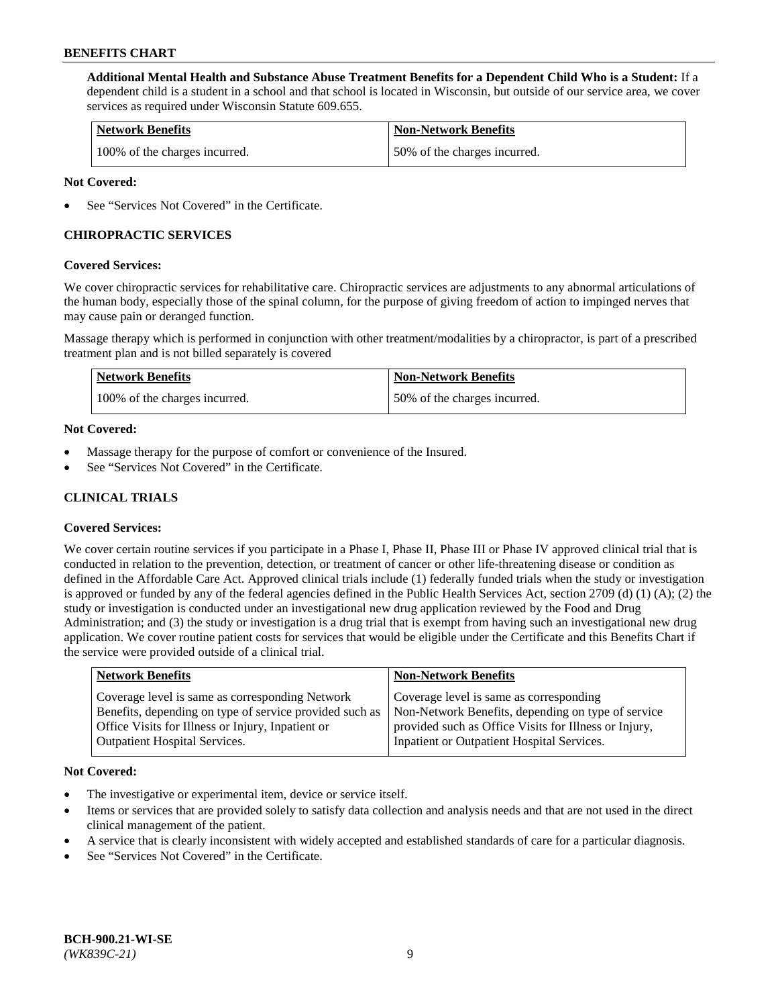**Additional Mental Health and Substance Abuse Treatment Benefits for a Dependent Child Who is a Student:** If a dependent child is a student in a school and that school is located in Wisconsin, but outside of our service area, we cover services as required under Wisconsin Statute 609.655.

| <b>Network Benefits</b>       | <b>Non-Network Benefits</b>  |
|-------------------------------|------------------------------|
| 100% of the charges incurred. | 50% of the charges incurred. |

### **Not Covered:**

See "Services Not Covered" in the Certificate.

## **CHIROPRACTIC SERVICES**

### **Covered Services:**

We cover chiropractic services for rehabilitative care. Chiropractic services are adjustments to any abnormal articulations of the human body, especially those of the spinal column, for the purpose of giving freedom of action to impinged nerves that may cause pain or deranged function.

Massage therapy which is performed in conjunction with other treatment/modalities by a chiropractor, is part of a prescribed treatment plan and is not billed separately is covered

| <b>Network Benefits</b>       | <b>Non-Network Benefits</b>  |
|-------------------------------|------------------------------|
| 100% of the charges incurred. | 50% of the charges incurred. |

### **Not Covered:**

- Massage therapy for the purpose of comfort or convenience of the Insured.
- See "Services Not Covered" in the Certificate.

## **CLINICAL TRIALS**

## **Covered Services:**

We cover certain routine services if you participate in a Phase I, Phase II, Phase III or Phase IV approved clinical trial that is conducted in relation to the prevention, detection, or treatment of cancer or other life-threatening disease or condition as defined in the Affordable Care Act. Approved clinical trials include (1) federally funded trials when the study or investigation is approved or funded by any of the federal agencies defined in the Public Health Services Act, section 2709 (d) (1) (A); (2) the study or investigation is conducted under an investigational new drug application reviewed by the Food and Drug Administration; and (3) the study or investigation is a drug trial that is exempt from having such an investigational new drug application. We cover routine patient costs for services that would be eligible under the Certificate and this Benefits Chart if the service were provided outside of a clinical trial.

| <b>Network Benefits</b>                                                                                                                                                                                 | <b>Non-Network Benefits</b>                                                                                                                                                                          |
|---------------------------------------------------------------------------------------------------------------------------------------------------------------------------------------------------------|------------------------------------------------------------------------------------------------------------------------------------------------------------------------------------------------------|
| Coverage level is same as corresponding Network<br>Benefits, depending on type of service provided such as<br>Office Visits for Illness or Injury, Inpatient or<br><b>Outpatient Hospital Services.</b> | Coverage level is same as corresponding<br>Non-Network Benefits, depending on type of service<br>provided such as Office Visits for Illness or Injury,<br>Inpatient or Outpatient Hospital Services. |
|                                                                                                                                                                                                         |                                                                                                                                                                                                      |

#### **Not Covered:**

- The investigative or experimental item, device or service itself.
- Items or services that are provided solely to satisfy data collection and analysis needs and that are not used in the direct clinical management of the patient.
- A service that is clearly inconsistent with widely accepted and established standards of care for a particular diagnosis.
- See "Services Not Covered" in the Certificate.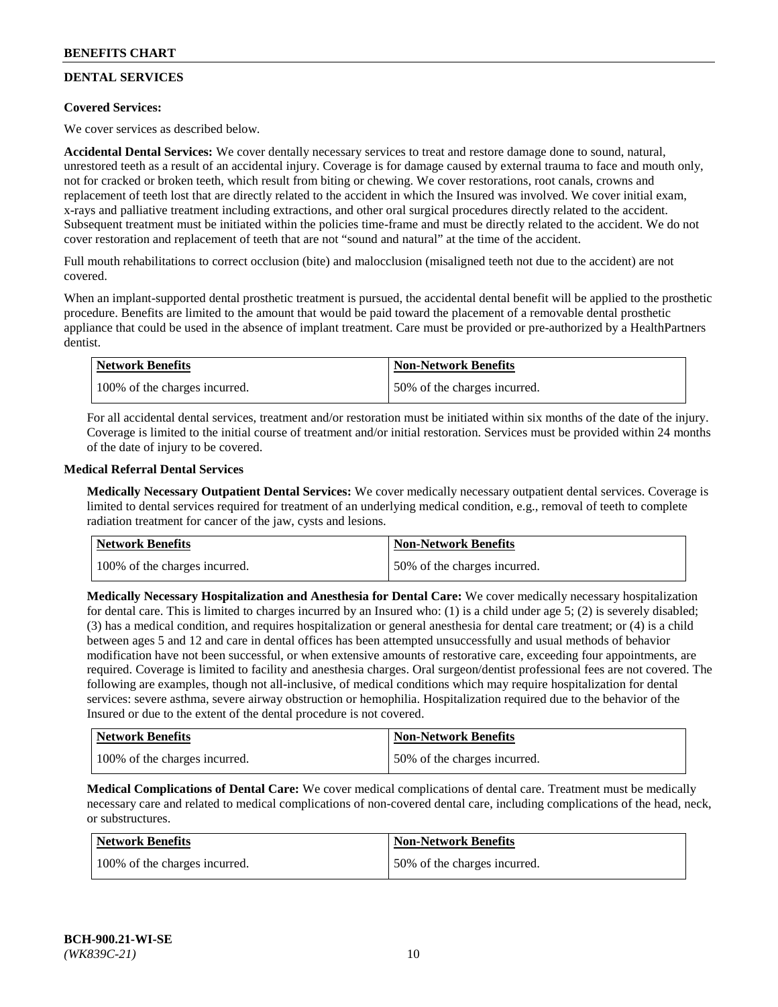## **DENTAL SERVICES**

## **Covered Services:**

We cover services as described below.

**Accidental Dental Services:** We cover dentally necessary services to treat and restore damage done to sound, natural, unrestored teeth as a result of an accidental injury. Coverage is for damage caused by external trauma to face and mouth only, not for cracked or broken teeth, which result from biting or chewing. We cover restorations, root canals, crowns and replacement of teeth lost that are directly related to the accident in which the Insured was involved. We cover initial exam, x-rays and palliative treatment including extractions, and other oral surgical procedures directly related to the accident. Subsequent treatment must be initiated within the policies time-frame and must be directly related to the accident. We do not cover restoration and replacement of teeth that are not "sound and natural" at the time of the accident.

Full mouth rehabilitations to correct occlusion (bite) and malocclusion (misaligned teeth not due to the accident) are not covered.

When an implant-supported dental prosthetic treatment is pursued, the accidental dental benefit will be applied to the prosthetic procedure. Benefits are limited to the amount that would be paid toward the placement of a removable dental prosthetic appliance that could be used in the absence of implant treatment. Care must be provided or pre-authorized by a HealthPartners dentist.

| <b>Network Benefits</b>       | <b>Non-Network Benefits</b>  |
|-------------------------------|------------------------------|
| 100% of the charges incurred. | 50% of the charges incurred. |

For all accidental dental services, treatment and/or restoration must be initiated within six months of the date of the injury. Coverage is limited to the initial course of treatment and/or initial restoration. Services must be provided within 24 months of the date of injury to be covered.

### **Medical Referral Dental Services**

**Medically Necessary Outpatient Dental Services:** We cover medically necessary outpatient dental services. Coverage is limited to dental services required for treatment of an underlying medical condition, e.g., removal of teeth to complete radiation treatment for cancer of the jaw, cysts and lesions.

| <b>Network Benefits</b>       | <b>Non-Network Benefits</b>  |
|-------------------------------|------------------------------|
| 100% of the charges incurred. | 50% of the charges incurred. |

**Medically Necessary Hospitalization and Anesthesia for Dental Care:** We cover medically necessary hospitalization for dental care. This is limited to charges incurred by an Insured who: (1) is a child under age  $5$ ; (2) is severely disabled; (3) has a medical condition, and requires hospitalization or general anesthesia for dental care treatment; or (4) is a child between ages 5 and 12 and care in dental offices has been attempted unsuccessfully and usual methods of behavior modification have not been successful, or when extensive amounts of restorative care, exceeding four appointments, are required. Coverage is limited to facility and anesthesia charges. Oral surgeon/dentist professional fees are not covered. The following are examples, though not all-inclusive, of medical conditions which may require hospitalization for dental services: severe asthma, severe airway obstruction or hemophilia. Hospitalization required due to the behavior of the Insured or due to the extent of the dental procedure is not covered.

| <b>Network Benefits</b>       | <b>Non-Network Benefits</b>  |
|-------------------------------|------------------------------|
| 100% of the charges incurred. | 50% of the charges incurred. |

**Medical Complications of Dental Care:** We cover medical complications of dental care. Treatment must be medically necessary care and related to medical complications of non-covered dental care, including complications of the head, neck, or substructures.

| Network Benefits              | <b>Non-Network Benefits</b>  |
|-------------------------------|------------------------------|
| 100% of the charges incurred. | 50% of the charges incurred. |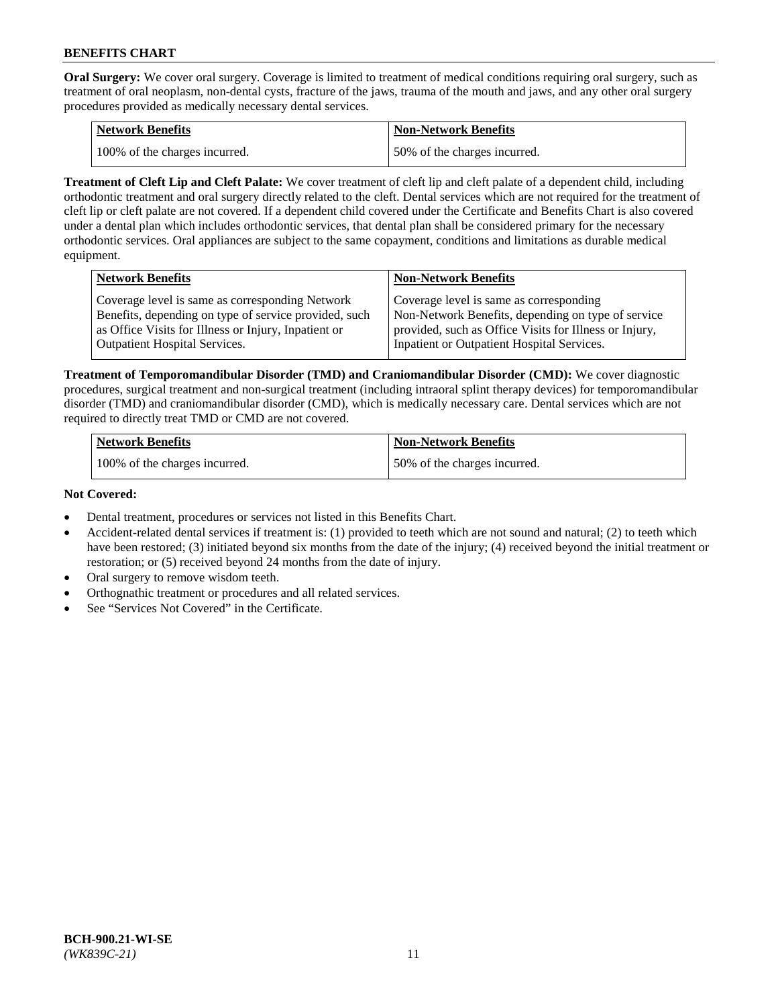**Oral Surgery:** We cover oral surgery. Coverage is limited to treatment of medical conditions requiring oral surgery, such as treatment of oral neoplasm, non-dental cysts, fracture of the jaws, trauma of the mouth and jaws, and any other oral surgery procedures provided as medically necessary dental services.

| <b>Network Benefits</b>       | Non-Network Benefits         |
|-------------------------------|------------------------------|
| 100% of the charges incurred. | 50% of the charges incurred. |

**Treatment of Cleft Lip and Cleft Palate:** We cover treatment of cleft lip and cleft palate of a dependent child, including orthodontic treatment and oral surgery directly related to the cleft. Dental services which are not required for the treatment of cleft lip or cleft palate are not covered. If a dependent child covered under the Certificate and Benefits Chart is also covered under a dental plan which includes orthodontic services, that dental plan shall be considered primary for the necessary orthodontic services. Oral appliances are subject to the same copayment, conditions and limitations as durable medical equipment.

| <b>Network Benefits</b>                               | <b>Non-Network Benefits</b>                            |
|-------------------------------------------------------|--------------------------------------------------------|
| Coverage level is same as corresponding Network       | Coverage level is same as corresponding                |
| Benefits, depending on type of service provided, such | Non-Network Benefits, depending on type of service     |
| as Office Visits for Illness or Injury, Inpatient or  | provided, such as Office Visits for Illness or Injury, |
| Outpatient Hospital Services.                         | Inpatient or Outpatient Hospital Services.             |

**Treatment of Temporomandibular Disorder (TMD) and Craniomandibular Disorder (CMD):** We cover diagnostic procedures, surgical treatment and non-surgical treatment (including intraoral splint therapy devices) for temporomandibular disorder (TMD) and craniomandibular disorder (CMD), which is medically necessary care. Dental services which are not required to directly treat TMD or CMD are not covered.

| <b>Network Benefits</b>       | <b>Non-Network Benefits</b>  |
|-------------------------------|------------------------------|
| 100% of the charges incurred. | 50% of the charges incurred. |

### **Not Covered:**

- Dental treatment, procedures or services not listed in this Benefits Chart.
- Accident-related dental services if treatment is: (1) provided to teeth which are not sound and natural; (2) to teeth which have been restored; (3) initiated beyond six months from the date of the injury; (4) received beyond the initial treatment or restoration; or (5) received beyond 24 months from the date of injury.
- Oral surgery to remove wisdom teeth.
- Orthognathic treatment or procedures and all related services.
- See "Services Not Covered" in the Certificate.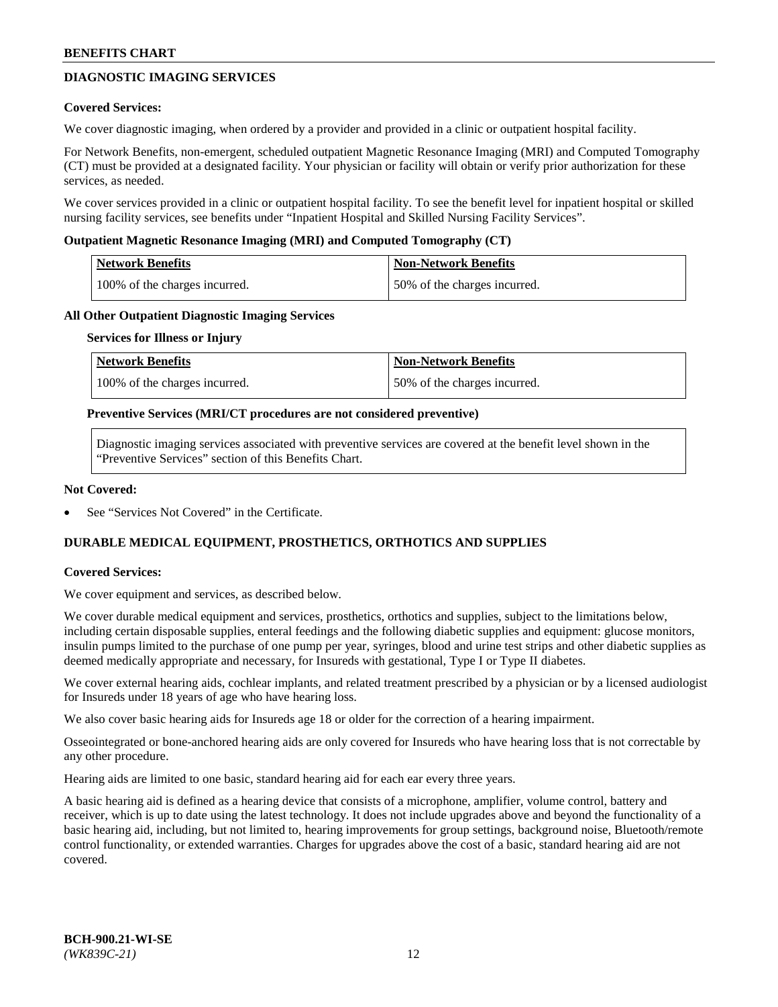## **DIAGNOSTIC IMAGING SERVICES**

### **Covered Services:**

We cover diagnostic imaging, when ordered by a provider and provided in a clinic or outpatient hospital facility.

For Network Benefits, non-emergent, scheduled outpatient Magnetic Resonance Imaging (MRI) and Computed Tomography (CT) must be provided at a designated facility. Your physician or facility will obtain or verify prior authorization for these services, as needed.

We cover services provided in a clinic or outpatient hospital facility. To see the benefit level for inpatient hospital or skilled nursing facility services, see benefits under "Inpatient Hospital and Skilled Nursing Facility Services".

### **Outpatient Magnetic Resonance Imaging (MRI) and Computed Tomography (CT)**

| <b>Network Benefits</b>       | <b>Non-Network Benefits</b>  |
|-------------------------------|------------------------------|
| 100% of the charges incurred. | 50% of the charges incurred. |

### **All Other Outpatient Diagnostic Imaging Services**

#### **Services for Illness or Injury**

| Network Benefits              | Non-Network Benefits         |
|-------------------------------|------------------------------|
| 100% of the charges incurred. | 50% of the charges incurred. |

### **Preventive Services (MRI/CT procedures are not considered preventive)**

Diagnostic imaging services associated with preventive services are covered at the benefit level shown in the "Preventive Services" section of this Benefits Chart.

### **Not Covered:**

See "Services Not Covered" in the Certificate.

## **DURABLE MEDICAL EQUIPMENT, PROSTHETICS, ORTHOTICS AND SUPPLIES**

#### **Covered Services:**

We cover equipment and services, as described below.

We cover durable medical equipment and services, prosthetics, orthotics and supplies, subject to the limitations below, including certain disposable supplies, enteral feedings and the following diabetic supplies and equipment: glucose monitors, insulin pumps limited to the purchase of one pump per year, syringes, blood and urine test strips and other diabetic supplies as deemed medically appropriate and necessary, for Insureds with gestational, Type I or Type II diabetes.

We cover external hearing aids, cochlear implants, and related treatment prescribed by a physician or by a licensed audiologist for Insureds under 18 years of age who have hearing loss.

We also cover basic hearing aids for Insureds age 18 or older for the correction of a hearing impairment.

Osseointegrated or bone-anchored hearing aids are only covered for Insureds who have hearing loss that is not correctable by any other procedure.

Hearing aids are limited to one basic, standard hearing aid for each ear every three years.

A basic hearing aid is defined as a hearing device that consists of a microphone, amplifier, volume control, battery and receiver, which is up to date using the latest technology. It does not include upgrades above and beyond the functionality of a basic hearing aid, including, but not limited to, hearing improvements for group settings, background noise, Bluetooth/remote control functionality, or extended warranties. Charges for upgrades above the cost of a basic, standard hearing aid are not covered.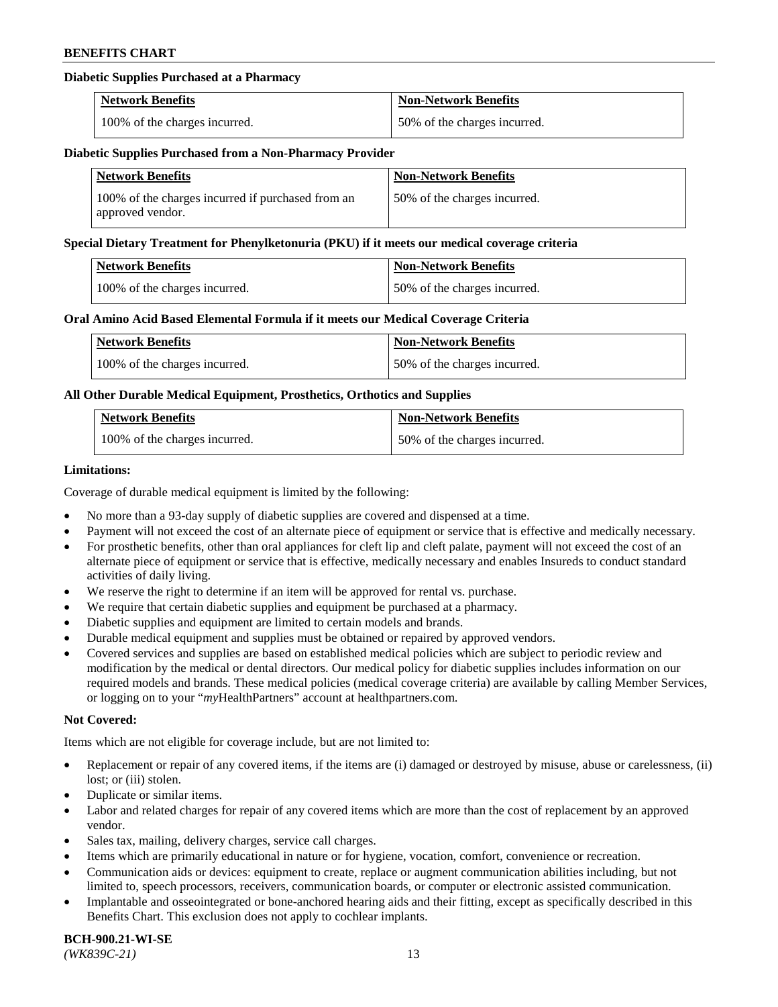## **Diabetic Supplies Purchased at a Pharmacy**

| <b>Network Benefits</b>       | <b>Non-Network Benefits</b>  |
|-------------------------------|------------------------------|
| 100% of the charges incurred. | 50% of the charges incurred. |

### **Diabetic Supplies Purchased from a Non-Pharmacy Provider**

| <b>Network Benefits</b>                                               | <b>Non-Network Benefits</b>  |
|-----------------------------------------------------------------------|------------------------------|
| 100% of the charges incurred if purchased from an<br>approved vendor. | 50% of the charges incurred. |

#### **Special Dietary Treatment for Phenylketonuria (PKU) if it meets our medical coverage criteria**

| Network Benefits              | <b>Non-Network Benefits</b>  |
|-------------------------------|------------------------------|
| 100% of the charges incurred. | 50% of the charges incurred. |

### **Oral Amino Acid Based Elemental Formula if it meets our Medical Coverage Criteria**

| <b>Network Benefits</b>       | <b>Non-Network Benefits</b>  |
|-------------------------------|------------------------------|
| 100% of the charges incurred. | 50% of the charges incurred. |

## **All Other Durable Medical Equipment, Prosthetics, Orthotics and Supplies**

| <b>Network Benefits</b>       | <b>Non-Network Benefits</b>  |
|-------------------------------|------------------------------|
| 100% of the charges incurred. | 50% of the charges incurred. |

### **Limitations:**

Coverage of durable medical equipment is limited by the following:

- No more than a 93-day supply of diabetic supplies are covered and dispensed at a time.
- Payment will not exceed the cost of an alternate piece of equipment or service that is effective and medically necessary.
- For prosthetic benefits, other than oral appliances for cleft lip and cleft palate, payment will not exceed the cost of an alternate piece of equipment or service that is effective, medically necessary and enables Insureds to conduct standard activities of daily living.
- We reserve the right to determine if an item will be approved for rental vs. purchase.
- We require that certain diabetic supplies and equipment be purchased at a pharmacy.
- Diabetic supplies and equipment are limited to certain models and brands.
- Durable medical equipment and supplies must be obtained or repaired by approved vendors.
- Covered services and supplies are based on established medical policies which are subject to periodic review and modification by the medical or dental directors. Our medical policy for diabetic supplies includes information on our required models and brands. These medical policies (medical coverage criteria) are available by calling Member Services, or logging on to your "*my*HealthPartners" account a[t healthpartners.com.](https://www.healthpartners.com/hp/index.html)

## **Not Covered:**

Items which are not eligible for coverage include, but are not limited to:

- Replacement or repair of any covered items, if the items are (i) damaged or destroyed by misuse, abuse or carelessness, (ii) lost; or (iii) stolen.
- Duplicate or similar items.
- Labor and related charges for repair of any covered items which are more than the cost of replacement by an approved vendor.
- Sales tax, mailing, delivery charges, service call charges.
- Items which are primarily educational in nature or for hygiene, vocation, comfort, convenience or recreation.
- Communication aids or devices: equipment to create, replace or augment communication abilities including, but not limited to, speech processors, receivers, communication boards, or computer or electronic assisted communication.
- Implantable and osseointegrated or bone-anchored hearing aids and their fitting, except as specifically described in this Benefits Chart. This exclusion does not apply to cochlear implants.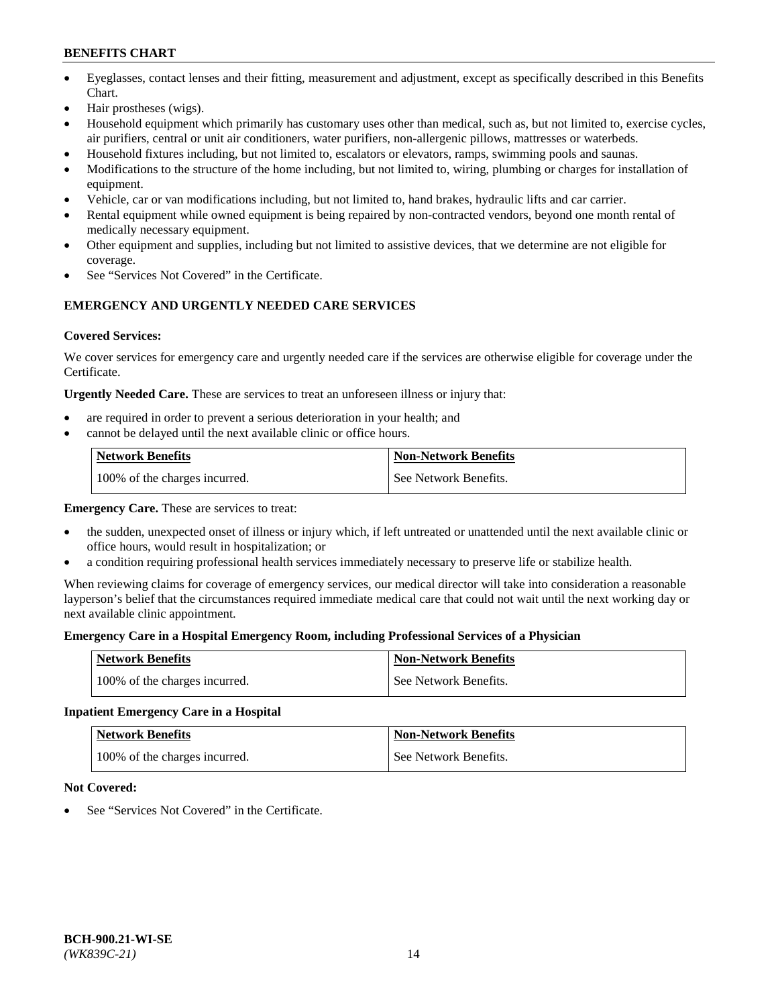- Eyeglasses, contact lenses and their fitting, measurement and adjustment, except as specifically described in this Benefits Chart.
- Hair prostheses (wigs).
- Household equipment which primarily has customary uses other than medical, such as, but not limited to, exercise cycles, air purifiers, central or unit air conditioners, water purifiers, non-allergenic pillows, mattresses or waterbeds.
- Household fixtures including, but not limited to, escalators or elevators, ramps, swimming pools and saunas.
- Modifications to the structure of the home including, but not limited to, wiring, plumbing or charges for installation of equipment.
- Vehicle, car or van modifications including, but not limited to, hand brakes, hydraulic lifts and car carrier.
- Rental equipment while owned equipment is being repaired by non-contracted vendors, beyond one month rental of medically necessary equipment.
- Other equipment and supplies, including but not limited to assistive devices, that we determine are not eligible for coverage.
- See "Services Not Covered" in the Certificate.

## **EMERGENCY AND URGENTLY NEEDED CARE SERVICES**

## **Covered Services:**

We cover services for emergency care and urgently needed care if the services are otherwise eligible for coverage under the Certificate.

**Urgently Needed Care.** These are services to treat an unforeseen illness or injury that:

- are required in order to prevent a serious deterioration in your health; and
- cannot be delayed until the next available clinic or office hours.

| <b>Network Benefits</b>       | <b>Non-Network Benefits</b> |
|-------------------------------|-----------------------------|
| 100% of the charges incurred. | See Network Benefits.       |

**Emergency Care.** These are services to treat:

- the sudden, unexpected onset of illness or injury which, if left untreated or unattended until the next available clinic or office hours, would result in hospitalization; or
- a condition requiring professional health services immediately necessary to preserve life or stabilize health.

When reviewing claims for coverage of emergency services, our medical director will take into consideration a reasonable layperson's belief that the circumstances required immediate medical care that could not wait until the next working day or next available clinic appointment.

## **Emergency Care in a Hospital Emergency Room, including Professional Services of a Physician**

| <b>Network Benefits</b>       | <b>Non-Network Benefits</b> |
|-------------------------------|-----------------------------|
| 100% of the charges incurred. | See Network Benefits.       |

## **Inpatient Emergency Care in a Hospital**

| <b>Network Benefits</b>       | <b>Non-Network Benefits</b> |
|-------------------------------|-----------------------------|
| 100% of the charges incurred. | See Network Benefits.       |

## **Not Covered:**

See "Services Not Covered" in the Certificate.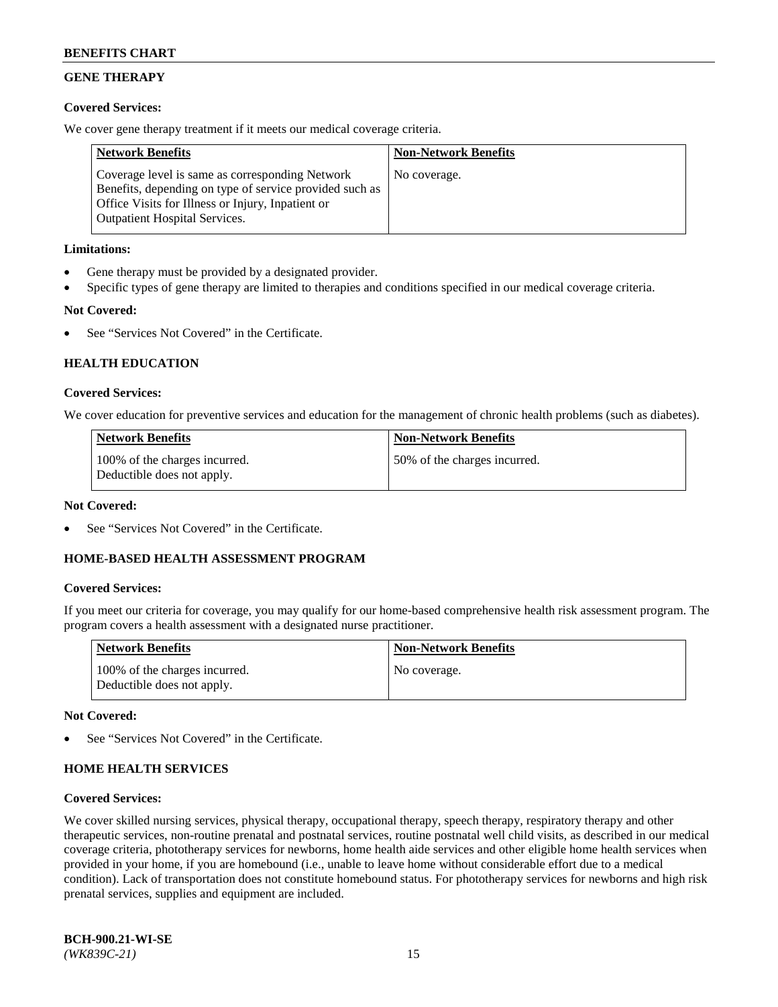## **GENE THERAPY**

## **Covered Services:**

We cover gene therapy treatment if it meets our medical coverage criteria.

| <b>Network Benefits</b>                                                                                                                                                                                 | <b>Non-Network Benefits</b> |
|---------------------------------------------------------------------------------------------------------------------------------------------------------------------------------------------------------|-----------------------------|
| Coverage level is same as corresponding Network<br>Benefits, depending on type of service provided such as<br>Office Visits for Illness or Injury, Inpatient or<br><b>Outpatient Hospital Services.</b> | No coverage.                |

## **Limitations:**

- Gene therapy must be provided by a designated provider.
- Specific types of gene therapy are limited to therapies and conditions specified in our medical coverage criteria.

## **Not Covered:**

See "Services Not Covered" in the Certificate.

## **HEALTH EDUCATION**

## **Covered Services:**

We cover education for preventive services and education for the management of chronic health problems (such as diabetes).

| <b>Network Benefits</b>                                     | <b>Non-Network Benefits</b>  |
|-------------------------------------------------------------|------------------------------|
| 100% of the charges incurred.<br>Deductible does not apply. | 50% of the charges incurred. |

### **Not Covered:**

See "Services Not Covered" in the Certificate.

## **HOME-BASED HEALTH ASSESSMENT PROGRAM**

## **Covered Services:**

If you meet our criteria for coverage, you may qualify for our home-based comprehensive health risk assessment program. The program covers a health assessment with a designated nurse practitioner.

| Network Benefits                                            | <b>Non-Network Benefits</b> |
|-------------------------------------------------------------|-----------------------------|
| 100% of the charges incurred.<br>Deductible does not apply. | No coverage.                |

#### **Not Covered:**

See "Services Not Covered" in the Certificate.

## **HOME HEALTH SERVICES**

#### **Covered Services:**

We cover skilled nursing services, physical therapy, occupational therapy, speech therapy, respiratory therapy and other therapeutic services, non-routine prenatal and postnatal services, routine postnatal well child visits, as described in our medical coverage criteria, phototherapy services for newborns, home health aide services and other eligible home health services when provided in your home, if you are homebound (i.e., unable to leave home without considerable effort due to a medical condition). Lack of transportation does not constitute homebound status. For phototherapy services for newborns and high risk prenatal services, supplies and equipment are included.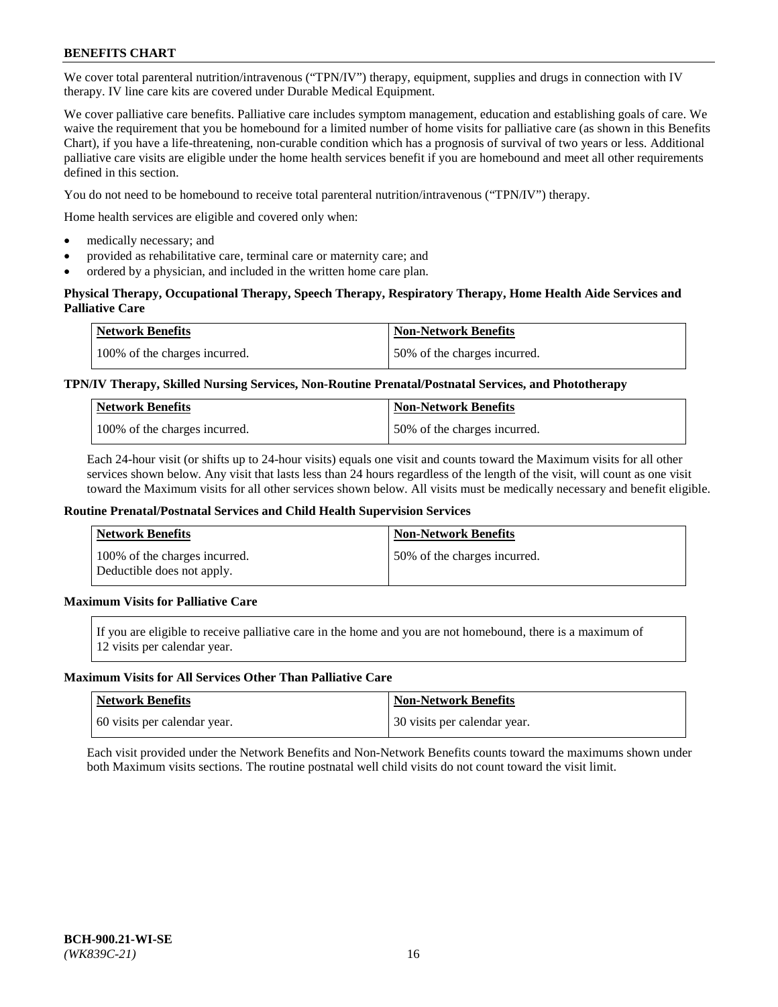We cover total parenteral nutrition/intravenous ("TPN/IV") therapy, equipment, supplies and drugs in connection with IV therapy. IV line care kits are covered under Durable Medical Equipment.

We cover palliative care benefits. Palliative care includes symptom management, education and establishing goals of care. We waive the requirement that you be homebound for a limited number of home visits for palliative care (as shown in this Benefits Chart), if you have a life-threatening, non-curable condition which has a prognosis of survival of two years or less. Additional palliative care visits are eligible under the home health services benefit if you are homebound and meet all other requirements defined in this section.

You do not need to be homebound to receive total parenteral nutrition/intravenous ("TPN/IV") therapy.

Home health services are eligible and covered only when:

- medically necessary; and
- provided as rehabilitative care, terminal care or maternity care; and
- ordered by a physician, and included in the written home care plan.

## **Physical Therapy, Occupational Therapy, Speech Therapy, Respiratory Therapy, Home Health Aide Services and Palliative Care**

| <b>Network Benefits</b>       | <b>Non-Network Benefits</b>  |
|-------------------------------|------------------------------|
| 100% of the charges incurred. | 50% of the charges incurred. |

## **TPN/IV Therapy, Skilled Nursing Services, Non-Routine Prenatal/Postnatal Services, and Phototherapy**

| <b>Network Benefits</b>       | <b>Non-Network Benefits</b>  |
|-------------------------------|------------------------------|
| 100% of the charges incurred. | 50% of the charges incurred. |

Each 24-hour visit (or shifts up to 24-hour visits) equals one visit and counts toward the Maximum visits for all other services shown below. Any visit that lasts less than 24 hours regardless of the length of the visit, will count as one visit toward the Maximum visits for all other services shown below. All visits must be medically necessary and benefit eligible.

#### **Routine Prenatal/Postnatal Services and Child Health Supervision Services**

| Network Benefits                                            | <b>Non-Network Benefits</b>  |
|-------------------------------------------------------------|------------------------------|
| 100% of the charges incurred.<br>Deductible does not apply. | 50% of the charges incurred. |

## **Maximum Visits for Palliative Care**

If you are eligible to receive palliative care in the home and you are not homebound, there is a maximum of 12 visits per calendar year.

#### **Maximum Visits for All Services Other Than Palliative Care**

| Network Benefits             | <b>Non-Network Benefits</b>  |
|------------------------------|------------------------------|
| 60 visits per calendar year. | 30 visits per calendar year. |

Each visit provided under the Network Benefits and Non-Network Benefits counts toward the maximums shown under both Maximum visits sections. The routine postnatal well child visits do not count toward the visit limit.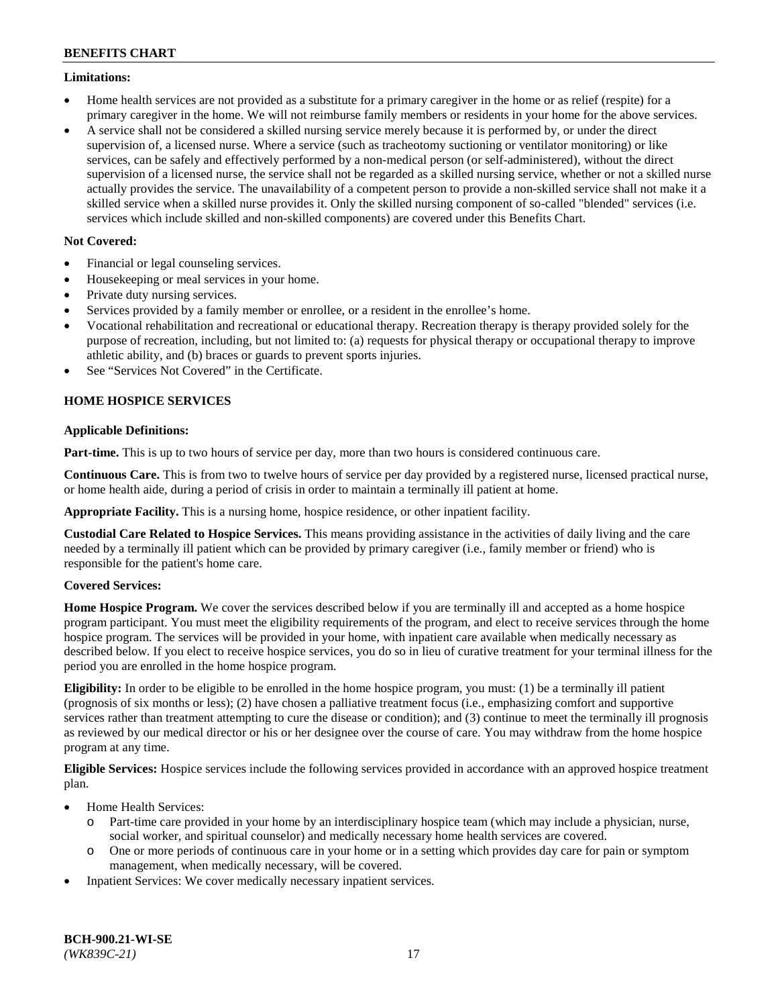### **Limitations:**

- Home health services are not provided as a substitute for a primary caregiver in the home or as relief (respite) for a primary caregiver in the home. We will not reimburse family members or residents in your home for the above services.
- A service shall not be considered a skilled nursing service merely because it is performed by, or under the direct supervision of, a licensed nurse. Where a service (such as tracheotomy suctioning or ventilator monitoring) or like services, can be safely and effectively performed by a non-medical person (or self-administered), without the direct supervision of a licensed nurse, the service shall not be regarded as a skilled nursing service, whether or not a skilled nurse actually provides the service. The unavailability of a competent person to provide a non-skilled service shall not make it a skilled service when a skilled nurse provides it. Only the skilled nursing component of so-called "blended" services (i.e. services which include skilled and non-skilled components) are covered under this Benefits Chart.

## **Not Covered:**

- Financial or legal counseling services.
- Housekeeping or meal services in your home.
- Private duty nursing services.
- Services provided by a family member or enrollee, or a resident in the enrollee's home.
- Vocational rehabilitation and recreational or educational therapy. Recreation therapy is therapy provided solely for the purpose of recreation, including, but not limited to: (a) requests for physical therapy or occupational therapy to improve athletic ability, and (b) braces or guards to prevent sports injuries.
- See "Services Not Covered" in the Certificate.

## **HOME HOSPICE SERVICES**

## **Applicable Definitions:**

**Part-time.** This is up to two hours of service per day, more than two hours is considered continuous care.

**Continuous Care.** This is from two to twelve hours of service per day provided by a registered nurse, licensed practical nurse, or home health aide, during a period of crisis in order to maintain a terminally ill patient at home.

**Appropriate Facility.** This is a nursing home, hospice residence, or other inpatient facility.

**Custodial Care Related to Hospice Services.** This means providing assistance in the activities of daily living and the care needed by a terminally ill patient which can be provided by primary caregiver (i.e., family member or friend) who is responsible for the patient's home care.

## **Covered Services:**

**Home Hospice Program.** We cover the services described below if you are terminally ill and accepted as a home hospice program participant. You must meet the eligibility requirements of the program, and elect to receive services through the home hospice program. The services will be provided in your home, with inpatient care available when medically necessary as described below. If you elect to receive hospice services, you do so in lieu of curative treatment for your terminal illness for the period you are enrolled in the home hospice program.

**Eligibility:** In order to be eligible to be enrolled in the home hospice program, you must: (1) be a terminally ill patient (prognosis of six months or less); (2) have chosen a palliative treatment focus (i.e., emphasizing comfort and supportive services rather than treatment attempting to cure the disease or condition); and (3) continue to meet the terminally ill prognosis as reviewed by our medical director or his or her designee over the course of care. You may withdraw from the home hospice program at any time.

**Eligible Services:** Hospice services include the following services provided in accordance with an approved hospice treatment plan.

- Home Health Services:
	- o Part-time care provided in your home by an interdisciplinary hospice team (which may include a physician, nurse, social worker, and spiritual counselor) and medically necessary home health services are covered.
	- o One or more periods of continuous care in your home or in a setting which provides day care for pain or symptom management, when medically necessary, will be covered.
- Inpatient Services: We cover medically necessary inpatient services.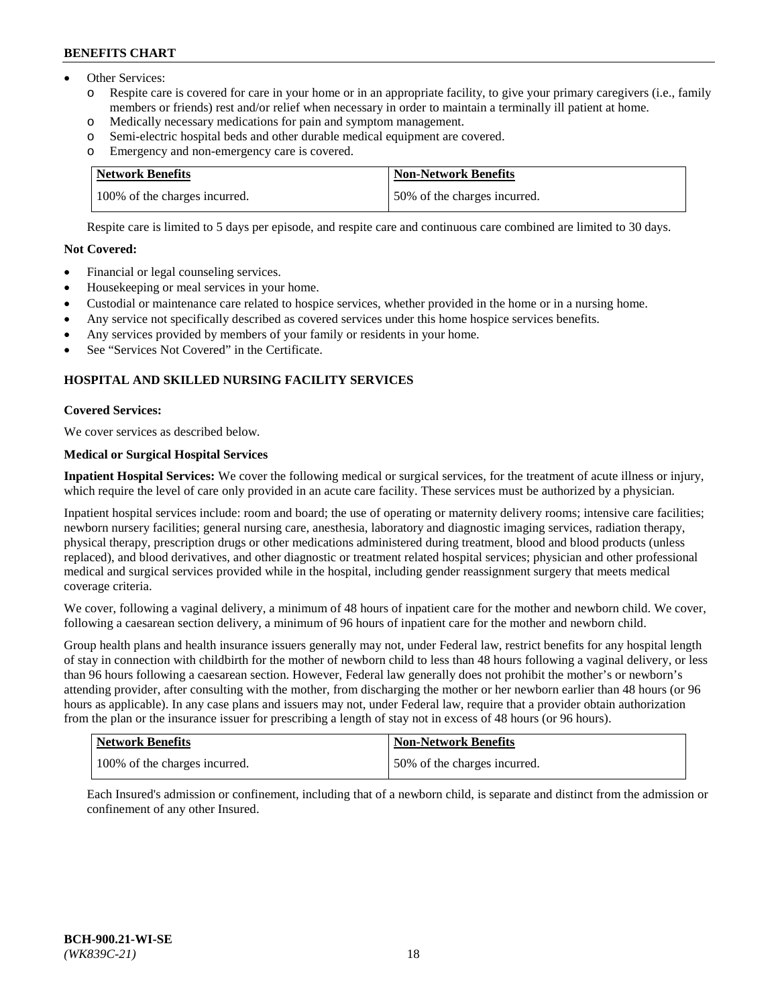- Other Services:
	- Respite care is covered for care in your home or in an appropriate facility, to give your primary caregivers (i.e., family members or friends) rest and/or relief when necessary in order to maintain a terminally ill patient at home.
	- o Medically necessary medications for pain and symptom management.
	- o Semi-electric hospital beds and other durable medical equipment are covered.
	- Emergency and non-emergency care is covered.

| Network Benefits              | <b>Non-Network Benefits</b>  |
|-------------------------------|------------------------------|
| 100% of the charges incurred. | 50% of the charges incurred. |

Respite care is limited to 5 days per episode, and respite care and continuous care combined are limited to 30 days.

## **Not Covered:**

- Financial or legal counseling services.
- Housekeeping or meal services in your home.
- Custodial or maintenance care related to hospice services, whether provided in the home or in a nursing home.
- Any service not specifically described as covered services under this home hospice services benefits.
- Any services provided by members of your family or residents in your home.
- See "Services Not Covered" in the Certificate.

## **HOSPITAL AND SKILLED NURSING FACILITY SERVICES**

## **Covered Services:**

We cover services as described below.

## **Medical or Surgical Hospital Services**

**Inpatient Hospital Services:** We cover the following medical or surgical services, for the treatment of acute illness or injury, which require the level of care only provided in an acute care facility. These services must be authorized by a physician.

Inpatient hospital services include: room and board; the use of operating or maternity delivery rooms; intensive care facilities; newborn nursery facilities; general nursing care, anesthesia, laboratory and diagnostic imaging services, radiation therapy, physical therapy, prescription drugs or other medications administered during treatment, blood and blood products (unless replaced), and blood derivatives, and other diagnostic or treatment related hospital services; physician and other professional medical and surgical services provided while in the hospital, including gender reassignment surgery that meets medical coverage criteria.

We cover, following a vaginal delivery, a minimum of 48 hours of inpatient care for the mother and newborn child. We cover, following a caesarean section delivery, a minimum of 96 hours of inpatient care for the mother and newborn child.

Group health plans and health insurance issuers generally may not, under Federal law, restrict benefits for any hospital length of stay in connection with childbirth for the mother of newborn child to less than 48 hours following a vaginal delivery, or less than 96 hours following a caesarean section. However, Federal law generally does not prohibit the mother's or newborn's attending provider, after consulting with the mother, from discharging the mother or her newborn earlier than 48 hours (or 96 hours as applicable). In any case plans and issuers may not, under Federal law, require that a provider obtain authorization from the plan or the insurance issuer for prescribing a length of stay not in excess of 48 hours (or 96 hours).

| Network Benefits              | Non-Network Benefits         |
|-------------------------------|------------------------------|
| 100% of the charges incurred. | 50% of the charges incurred. |

Each Insured's admission or confinement, including that of a newborn child, is separate and distinct from the admission or confinement of any other Insured.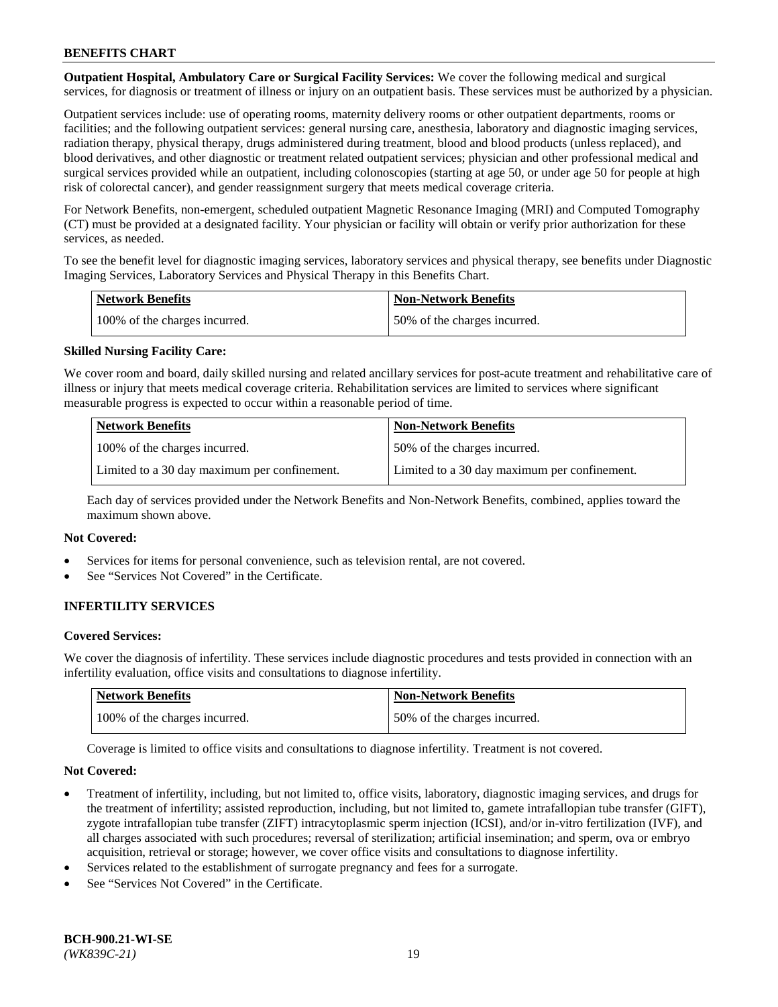**Outpatient Hospital, Ambulatory Care or Surgical Facility Services:** We cover the following medical and surgical services, for diagnosis or treatment of illness or injury on an outpatient basis. These services must be authorized by a physician.

Outpatient services include: use of operating rooms, maternity delivery rooms or other outpatient departments, rooms or facilities; and the following outpatient services: general nursing care, anesthesia, laboratory and diagnostic imaging services, radiation therapy, physical therapy, drugs administered during treatment, blood and blood products (unless replaced), and blood derivatives, and other diagnostic or treatment related outpatient services; physician and other professional medical and surgical services provided while an outpatient, including colonoscopies (starting at age 50, or under age 50 for people at high risk of colorectal cancer), and gender reassignment surgery that meets medical coverage criteria.

For Network Benefits, non-emergent, scheduled outpatient Magnetic Resonance Imaging (MRI) and Computed Tomography (CT) must be provided at a designated facility. Your physician or facility will obtain or verify prior authorization for these services, as needed.

To see the benefit level for diagnostic imaging services, laboratory services and physical therapy, see benefits under Diagnostic Imaging Services, Laboratory Services and Physical Therapy in this Benefits Chart.

| <b>Network Benefits</b>       | <b>Non-Network Benefits</b>  |
|-------------------------------|------------------------------|
| 100% of the charges incurred. | 50% of the charges incurred. |

## **Skilled Nursing Facility Care:**

We cover room and board, daily skilled nursing and related ancillary services for post-acute treatment and rehabilitative care of illness or injury that meets medical coverage criteria. Rehabilitation services are limited to services where significant measurable progress is expected to occur within a reasonable period of time.

| <b>Network Benefits</b>                      | <b>Non-Network Benefits</b>                  |
|----------------------------------------------|----------------------------------------------|
| 100% of the charges incurred.                | 50% of the charges incurred.                 |
| Limited to a 30 day maximum per confinement. | Limited to a 30 day maximum per confinement. |

Each day of services provided under the Network Benefits and Non-Network Benefits, combined, applies toward the maximum shown above.

#### **Not Covered:**

- Services for items for personal convenience, such as television rental, are not covered.
- See "Services Not Covered" in the Certificate.

## **INFERTILITY SERVICES**

#### **Covered Services:**

We cover the diagnosis of infertility. These services include diagnostic procedures and tests provided in connection with an infertility evaluation, office visits and consultations to diagnose infertility.

| <b>Network Benefits</b>       | <b>Non-Network Benefits</b>  |
|-------------------------------|------------------------------|
| 100% of the charges incurred. | 50% of the charges incurred. |

Coverage is limited to office visits and consultations to diagnose infertility. Treatment is not covered.

#### **Not Covered:**

- Treatment of infertility, including, but not limited to, office visits, laboratory, diagnostic imaging services, and drugs for the treatment of infertility; assisted reproduction, including, but not limited to, gamete intrafallopian tube transfer (GIFT), zygote intrafallopian tube transfer (ZIFT) intracytoplasmic sperm injection (ICSI), and/or in-vitro fertilization (IVF), and all charges associated with such procedures; reversal of sterilization; artificial insemination; and sperm, ova or embryo acquisition, retrieval or storage; however, we cover office visits and consultations to diagnose infertility.
- Services related to the establishment of surrogate pregnancy and fees for a surrogate.
- See "Services Not Covered" in the Certificate.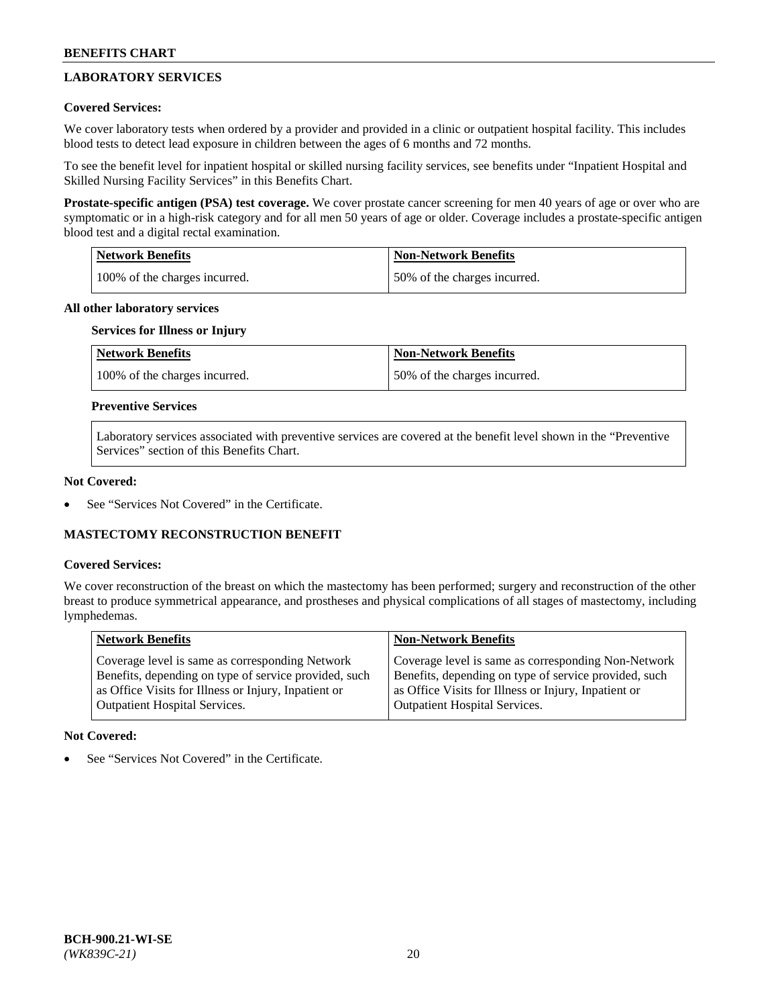## **LABORATORY SERVICES**

## **Covered Services:**

We cover laboratory tests when ordered by a provider and provided in a clinic or outpatient hospital facility. This includes blood tests to detect lead exposure in children between the ages of 6 months and 72 months.

To see the benefit level for inpatient hospital or skilled nursing facility services, see benefits under "Inpatient Hospital and Skilled Nursing Facility Services" in this Benefits Chart.

**Prostate-specific antigen (PSA) test coverage.** We cover prostate cancer screening for men 40 years of age or over who are symptomatic or in a high-risk category and for all men 50 years of age or older. Coverage includes a prostate-specific antigen blood test and a digital rectal examination.

| Network Benefits              | <b>Non-Network Benefits</b>  |
|-------------------------------|------------------------------|
| 100% of the charges incurred. | 50% of the charges incurred. |

### **All other laboratory services**

## **Services for Illness or Injury**

| <b>Network Benefits</b>       | <b>Non-Network Benefits</b>  |
|-------------------------------|------------------------------|
| 100% of the charges incurred. | 50% of the charges incurred. |

### **Preventive Services**

Laboratory services associated with preventive services are covered at the benefit level shown in the "Preventive Services" section of this Benefits Chart.

### **Not Covered:**

See "Services Not Covered" in the Certificate.

## **MASTECTOMY RECONSTRUCTION BENEFIT**

#### **Covered Services:**

We cover reconstruction of the breast on which the mastectomy has been performed; surgery and reconstruction of the other breast to produce symmetrical appearance, and prostheses and physical complications of all stages of mastectomy, including lymphedemas.

| <b>Network Benefits</b>                               | <b>Non-Network Benefits</b>                           |
|-------------------------------------------------------|-------------------------------------------------------|
| Coverage level is same as corresponding Network       | Coverage level is same as corresponding Non-Network   |
| Benefits, depending on type of service provided, such | Benefits, depending on type of service provided, such |
| as Office Visits for Illness or Injury, Inpatient or  | as Office Visits for Illness or Injury, Inpatient or  |
| Outpatient Hospital Services.                         | <b>Outpatient Hospital Services.</b>                  |

## **Not Covered:**

See "Services Not Covered" in the Certificate.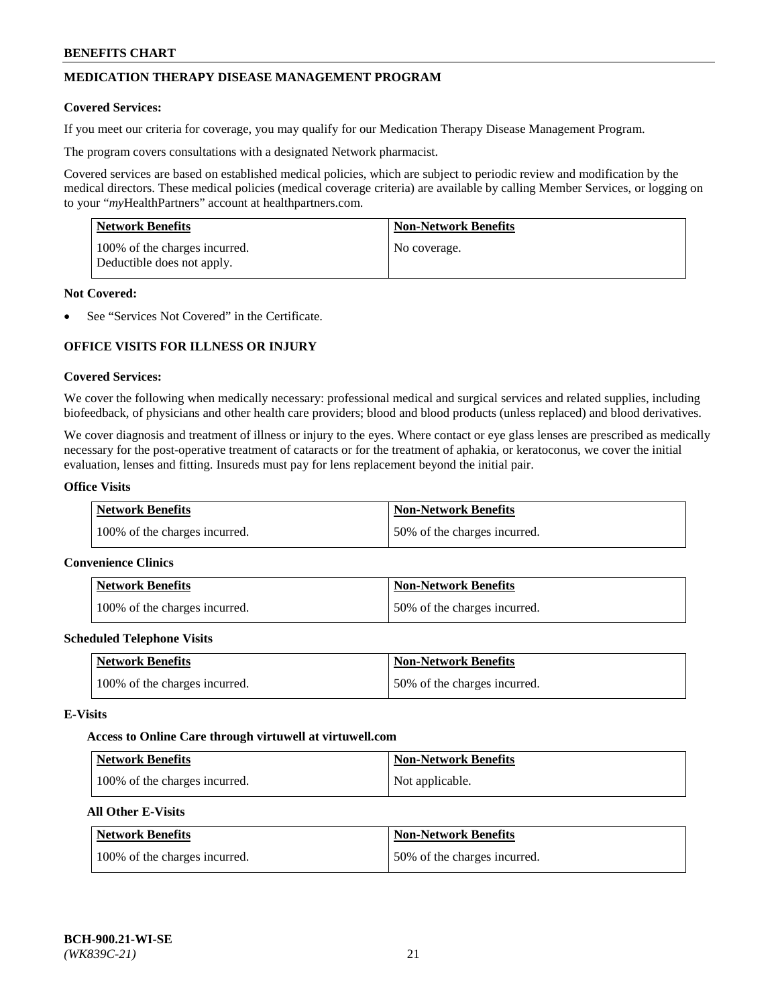## **MEDICATION THERAPY DISEASE MANAGEMENT PROGRAM**

### **Covered Services:**

If you meet our criteria for coverage, you may qualify for our Medication Therapy Disease Management Program.

The program covers consultations with a designated Network pharmacist.

Covered services are based on established medical policies, which are subject to periodic review and modification by the medical directors. These medical policies (medical coverage criteria) are available by calling Member Services, or logging on to your "*my*HealthPartners" account at [healthpartners.com.](http://www.healthpartners.com/)

| Network Benefits                                            | <b>Non-Network Benefits</b> |
|-------------------------------------------------------------|-----------------------------|
| 100% of the charges incurred.<br>Deductible does not apply. | No coverage.                |

### **Not Covered:**

See "Services Not Covered" in the Certificate.

## **OFFICE VISITS FOR ILLNESS OR INJURY**

### **Covered Services:**

We cover the following when medically necessary: professional medical and surgical services and related supplies, including biofeedback, of physicians and other health care providers; blood and blood products (unless replaced) and blood derivatives.

We cover diagnosis and treatment of illness or injury to the eyes. Where contact or eye glass lenses are prescribed as medically necessary for the post-operative treatment of cataracts or for the treatment of aphakia, or keratoconus, we cover the initial evaluation, lenses and fitting. Insureds must pay for lens replacement beyond the initial pair.

## **Office Visits**

| Network Benefits              | <b>Non-Network Benefits</b>  |
|-------------------------------|------------------------------|
| 100% of the charges incurred. | 50% of the charges incurred. |

#### **Convenience Clinics**

| Network Benefits              | <b>Non-Network Benefits</b>  |
|-------------------------------|------------------------------|
| 100% of the charges incurred. | 50% of the charges incurred. |

#### **Scheduled Telephone Visits**

| <b>Network Benefits</b>       | <b>Non-Network Benefits</b>  |
|-------------------------------|------------------------------|
| 100% of the charges incurred. | 50% of the charges incurred. |

#### **E-Visits**

#### **Access to Online Care through virtuwell a[t virtuwell.com](https://www.virtuwell.com/)**

| <b>Network Benefits</b>       | <b>Non-Network Benefits</b> |
|-------------------------------|-----------------------------|
| 100% of the charges incurred. | Not applicable.             |

## **All Other E-Visits**

| Network Benefits              | <b>Non-Network Benefits</b>  |
|-------------------------------|------------------------------|
| 100% of the charges incurred. | 50% of the charges incurred. |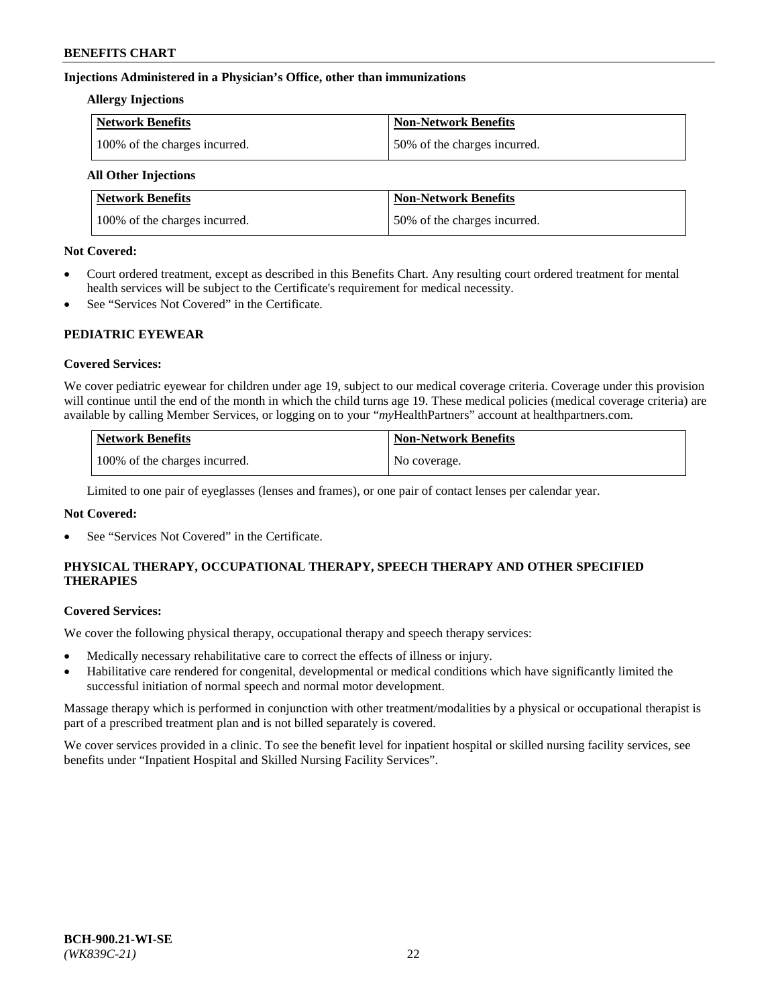## **Injections Administered in a Physician's Office, other than immunizations**

#### **Allergy Injections**

| Network Benefits              | <b>Non-Network Benefits</b>  |
|-------------------------------|------------------------------|
| 100% of the charges incurred. | 50% of the charges incurred. |

## **All Other Injections**

| <b>Network Benefits</b>       | <b>Non-Network Benefits</b>  |
|-------------------------------|------------------------------|
| 100% of the charges incurred. | 50% of the charges incurred. |

### **Not Covered:**

- Court ordered treatment, except as described in this Benefits Chart. Any resulting court ordered treatment for mental health services will be subject to the Certificate's requirement for medical necessity.
- See "Services Not Covered" in the Certificate.

## **PEDIATRIC EYEWEAR**

## **Covered Services:**

We cover pediatric eyewear for children under age 19, subject to our medical coverage criteria. Coverage under this provision will continue until the end of the month in which the child turns age 19. These medical policies (medical coverage criteria) are available by calling Member Services, or logging on to your "*my*HealthPartners" account a[t healthpartners.com.](https://www.healthpartners.com/hp/index.html)

| Network Benefits              | <b>Non-Network Benefits</b> |
|-------------------------------|-----------------------------|
| 100% of the charges incurred. | No coverage.                |

Limited to one pair of eyeglasses (lenses and frames), or one pair of contact lenses per calendar year.

## **Not Covered:**

See "Services Not Covered" in the Certificate.

## **PHYSICAL THERAPY, OCCUPATIONAL THERAPY, SPEECH THERAPY AND OTHER SPECIFIED THERAPIES**

#### **Covered Services:**

We cover the following physical therapy, occupational therapy and speech therapy services:

- Medically necessary rehabilitative care to correct the effects of illness or injury.
- Habilitative care rendered for congenital, developmental or medical conditions which have significantly limited the successful initiation of normal speech and normal motor development.

Massage therapy which is performed in conjunction with other treatment/modalities by a physical or occupational therapist is part of a prescribed treatment plan and is not billed separately is covered.

We cover services provided in a clinic. To see the benefit level for inpatient hospital or skilled nursing facility services, see benefits under "Inpatient Hospital and Skilled Nursing Facility Services".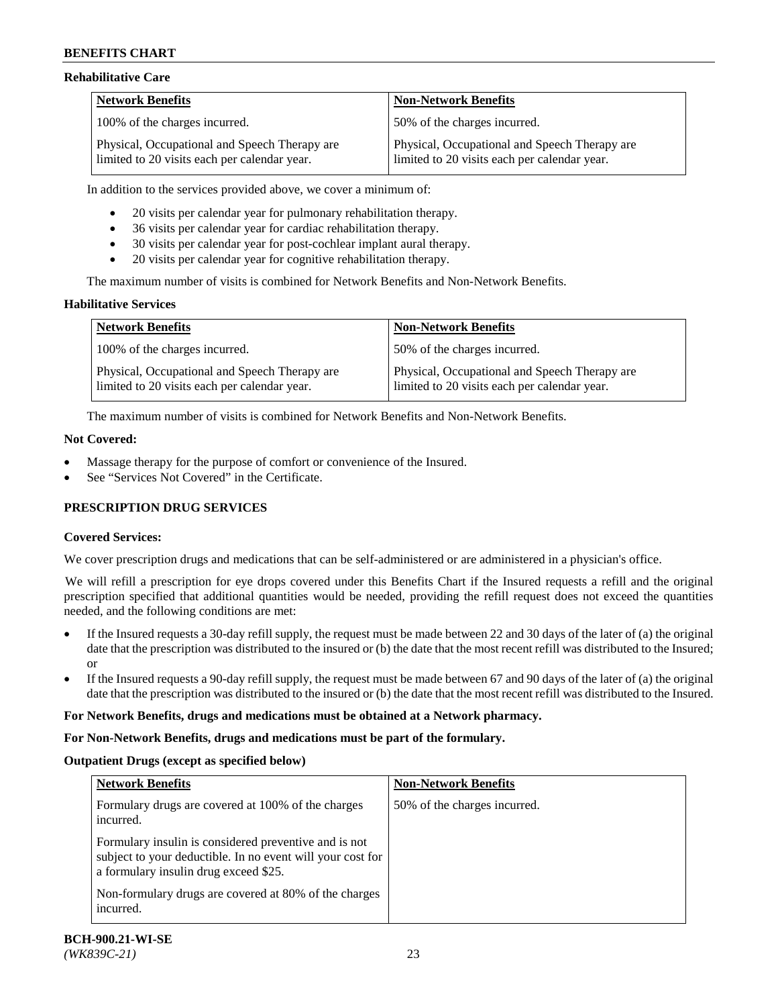### **Rehabilitative Care**

| <b>Network Benefits</b>                                                                       | <b>Non-Network Benefits</b>                                                                   |
|-----------------------------------------------------------------------------------------------|-----------------------------------------------------------------------------------------------|
| 100% of the charges incurred.                                                                 | 50% of the charges incurred.                                                                  |
| Physical, Occupational and Speech Therapy are<br>limited to 20 visits each per calendar year. | Physical, Occupational and Speech Therapy are<br>limited to 20 visits each per calendar year. |

In addition to the services provided above, we cover a minimum of:

- 20 visits per calendar year for pulmonary rehabilitation therapy.
- 36 visits per calendar year for cardiac rehabilitation therapy.
- 30 visits per calendar year for post-cochlear implant aural therapy.
- 20 visits per calendar year for cognitive rehabilitation therapy.

The maximum number of visits is combined for Network Benefits and Non-Network Benefits.

## **Habilitative Services**

| <b>Network Benefits</b>                                                                       | <b>Non-Network Benefits</b>                                                                   |
|-----------------------------------------------------------------------------------------------|-----------------------------------------------------------------------------------------------|
| 100% of the charges incurred.                                                                 | 50% of the charges incurred.                                                                  |
| Physical, Occupational and Speech Therapy are<br>limited to 20 visits each per calendar year. | Physical, Occupational and Speech Therapy are<br>limited to 20 visits each per calendar year. |

The maximum number of visits is combined for Network Benefits and Non-Network Benefits.

#### **Not Covered:**

- Massage therapy for the purpose of comfort or convenience of the Insured.
- See "Services Not Covered" in the Certificate.

## **PRESCRIPTION DRUG SERVICES**

## **Covered Services:**

We cover prescription drugs and medications that can be self-administered or are administered in a physician's office.

We will refill a prescription for eye drops covered under this Benefits Chart if the Insured requests a refill and the original prescription specified that additional quantities would be needed, providing the refill request does not exceed the quantities needed, and the following conditions are met:

- If the Insured requests a 30-day refill supply, the request must be made between 22 and 30 days of the later of (a) the original date that the prescription was distributed to the insured or (b) the date that the most recent refill was distributed to the Insured; or
- If the Insured requests a 90-day refill supply, the request must be made between 67 and 90 days of the later of (a) the original date that the prescription was distributed to the insured or (b) the date that the most recent refill was distributed to the Insured.

#### **For Network Benefits, drugs and medications must be obtained at a Network pharmacy.**

#### **For Non-Network Benefits, drugs and medications must be part of the formulary.**

#### **Outpatient Drugs (except as specified below)**

| <b>Network Benefits</b>                                                                                                                                      | <b>Non-Network Benefits</b>  |
|--------------------------------------------------------------------------------------------------------------------------------------------------------------|------------------------------|
| Formulary drugs are covered at 100% of the charges<br>incurred.                                                                                              | 50% of the charges incurred. |
| Formulary insulin is considered preventive and is not<br>subject to your deductible. In no event will your cost for<br>a formulary insulin drug exceed \$25. |                              |
| Non-formulary drugs are covered at 80% of the charges<br>incurred.                                                                                           |                              |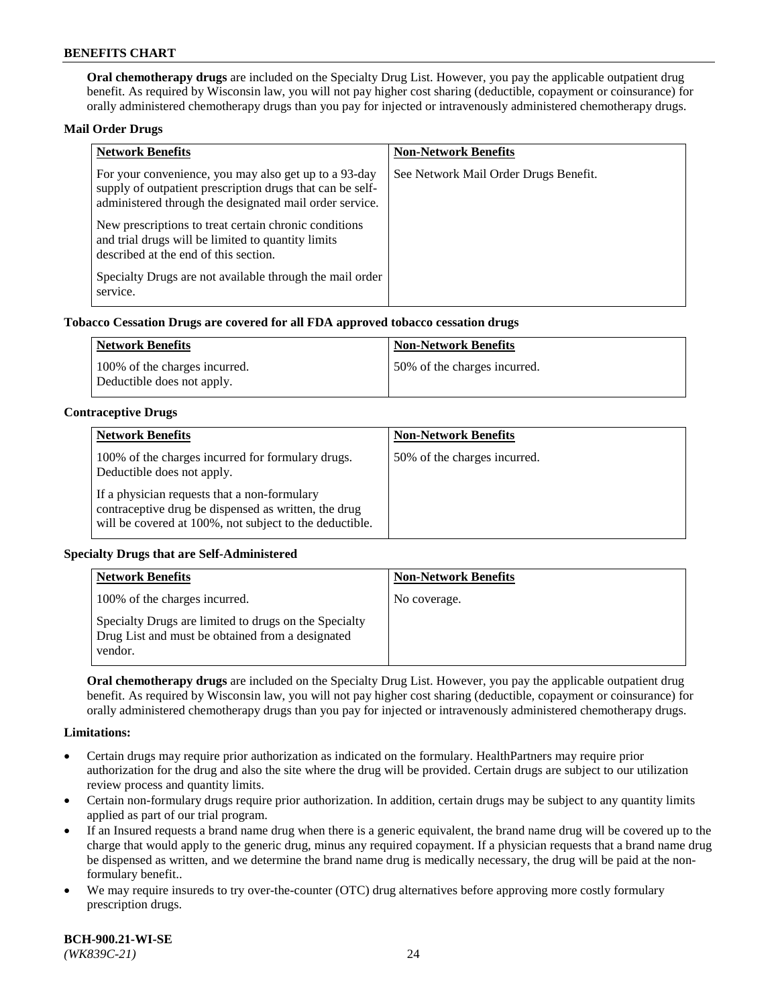**Oral chemotherapy drugs** are included on the Specialty Drug List. However, you pay the applicable outpatient drug benefit. As required by Wisconsin law, you will not pay higher cost sharing (deductible, copayment or coinsurance) for orally administered chemotherapy drugs than you pay for injected or intravenously administered chemotherapy drugs.

### **Mail Order Drugs**

| <b>Network Benefits</b>                                                                                                                                                       | <b>Non-Network Benefits</b>           |
|-------------------------------------------------------------------------------------------------------------------------------------------------------------------------------|---------------------------------------|
| For your convenience, you may also get up to a 93-day<br>supply of outpatient prescription drugs that can be self-<br>administered through the designated mail order service. | See Network Mail Order Drugs Benefit. |
| New prescriptions to treat certain chronic conditions<br>and trial drugs will be limited to quantity limits<br>described at the end of this section.                          |                                       |
| Specialty Drugs are not available through the mail order<br>service.                                                                                                          |                                       |

### **Tobacco Cessation Drugs are covered for all FDA approved tobacco cessation drugs**

| Network Benefits                                            | Non-Network Benefits         |
|-------------------------------------------------------------|------------------------------|
| 100% of the charges incurred.<br>Deductible does not apply. | 50% of the charges incurred. |

### **Contraceptive Drugs**

| <b>Network Benefits</b>                                                                                                                                         | <b>Non-Network Benefits</b>  |
|-----------------------------------------------------------------------------------------------------------------------------------------------------------------|------------------------------|
| 100% of the charges incurred for formulary drugs.<br>Deductible does not apply.                                                                                 | 50% of the charges incurred. |
| If a physician requests that a non-formulary<br>contraceptive drug be dispensed as written, the drug<br>will be covered at 100%, not subject to the deductible. |                              |

## **Specialty Drugs that are Self-Administered**

| <b>Network Benefits</b>                                                                                              | <b>Non-Network Benefits</b> |
|----------------------------------------------------------------------------------------------------------------------|-----------------------------|
| 100% of the charges incurred.                                                                                        | No coverage.                |
| Specialty Drugs are limited to drugs on the Specialty<br>Drug List and must be obtained from a designated<br>vendor. |                             |

**Oral chemotherapy drugs** are included on the Specialty Drug List. However, you pay the applicable outpatient drug benefit. As required by Wisconsin law, you will not pay higher cost sharing (deductible, copayment or coinsurance) for orally administered chemotherapy drugs than you pay for injected or intravenously administered chemotherapy drugs.

#### **Limitations:**

- Certain drugs may require prior authorization as indicated on the formulary. HealthPartners may require prior authorization for the drug and also the site where the drug will be provided. Certain drugs are subject to our utilization review process and quantity limits.
- Certain non-formulary drugs require prior authorization. In addition, certain drugs may be subject to any quantity limits applied as part of our trial program.
- If an Insured requests a brand name drug when there is a generic equivalent, the brand name drug will be covered up to the charge that would apply to the generic drug, minus any required copayment. If a physician requests that a brand name drug be dispensed as written, and we determine the brand name drug is medically necessary, the drug will be paid at the nonformulary benefit..
- We may require insureds to try over-the-counter (OTC) drug alternatives before approving more costly formulary prescription drugs.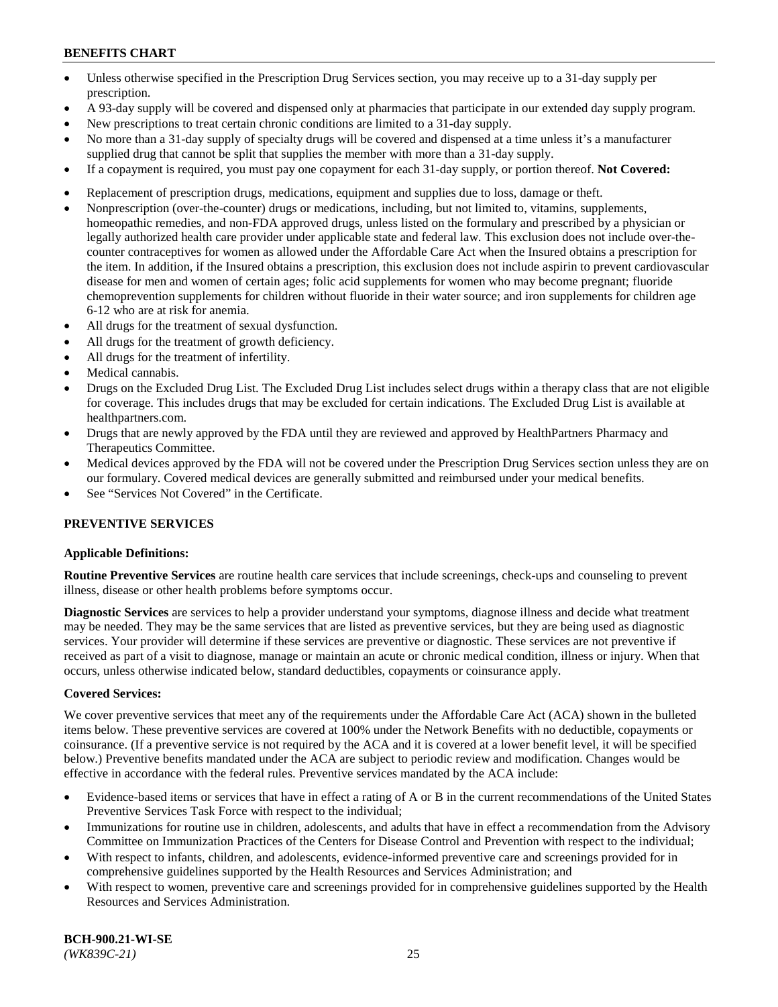- Unless otherwise specified in the Prescription Drug Services section, you may receive up to a 31-day supply per prescription.
- A 93-day supply will be covered and dispensed only at pharmacies that participate in our extended day supply program.
- New prescriptions to treat certain chronic conditions are limited to a 31-day supply.
- No more than a 31-day supply of specialty drugs will be covered and dispensed at a time unless it's a manufacturer supplied drug that cannot be split that supplies the member with more than a 31-day supply.
- If a copayment is required, you must pay one copayment for each 31-day supply, or portion thereof. **Not Covered:**
- Replacement of prescription drugs, medications, equipment and supplies due to loss, damage or theft.
- Nonprescription (over-the-counter) drugs or medications, including, but not limited to, vitamins, supplements, homeopathic remedies, and non-FDA approved drugs, unless listed on the formulary and prescribed by a physician or legally authorized health care provider under applicable state and federal law. This exclusion does not include over-thecounter contraceptives for women as allowed under the Affordable Care Act when the Insured obtains a prescription for the item. In addition, if the Insured obtains a prescription, this exclusion does not include aspirin to prevent cardiovascular disease for men and women of certain ages; folic acid supplements for women who may become pregnant; fluoride chemoprevention supplements for children without fluoride in their water source; and iron supplements for children age 6-12 who are at risk for anemia.
- All drugs for the treatment of sexual dysfunction.
- All drugs for the treatment of growth deficiency.
- All drugs for the treatment of infertility.
- Medical cannabis.
- Drugs on the Excluded Drug List. The Excluded Drug List includes select drugs within a therapy class that are not eligible for coverage. This includes drugs that may be excluded for certain indications. The Excluded Drug List is available at [healthpartners.com.](http://www.healthpartners.com/)
- Drugs that are newly approved by the FDA until they are reviewed and approved by HealthPartners Pharmacy and Therapeutics Committee.
- Medical devices approved by the FDA will not be covered under the Prescription Drug Services section unless they are on our formulary. Covered medical devices are generally submitted and reimbursed under your medical benefits.
- See "Services Not Covered" in the Certificate.

## **PREVENTIVE SERVICES**

#### **Applicable Definitions:**

**Routine Preventive Services** are routine health care services that include screenings, check-ups and counseling to prevent illness, disease or other health problems before symptoms occur.

**Diagnostic Services** are services to help a provider understand your symptoms, diagnose illness and decide what treatment may be needed. They may be the same services that are listed as preventive services, but they are being used as diagnostic services. Your provider will determine if these services are preventive or diagnostic. These services are not preventive if received as part of a visit to diagnose, manage or maintain an acute or chronic medical condition, illness or injury. When that occurs, unless otherwise indicated below, standard deductibles, copayments or coinsurance apply.

#### **Covered Services:**

We cover preventive services that meet any of the requirements under the Affordable Care Act (ACA) shown in the bulleted items below. These preventive services are covered at 100% under the Network Benefits with no deductible, copayments or coinsurance. (If a preventive service is not required by the ACA and it is covered at a lower benefit level, it will be specified below.) Preventive benefits mandated under the ACA are subject to periodic review and modification. Changes would be effective in accordance with the federal rules. Preventive services mandated by the ACA include:

- Evidence-based items or services that have in effect a rating of A or B in the current recommendations of the United States Preventive Services Task Force with respect to the individual;
- Immunizations for routine use in children, adolescents, and adults that have in effect a recommendation from the Advisory Committee on Immunization Practices of the Centers for Disease Control and Prevention with respect to the individual;
- With respect to infants, children, and adolescents, evidence-informed preventive care and screenings provided for in comprehensive guidelines supported by the Health Resources and Services Administration; and
- With respect to women, preventive care and screenings provided for in comprehensive guidelines supported by the Health Resources and Services Administration.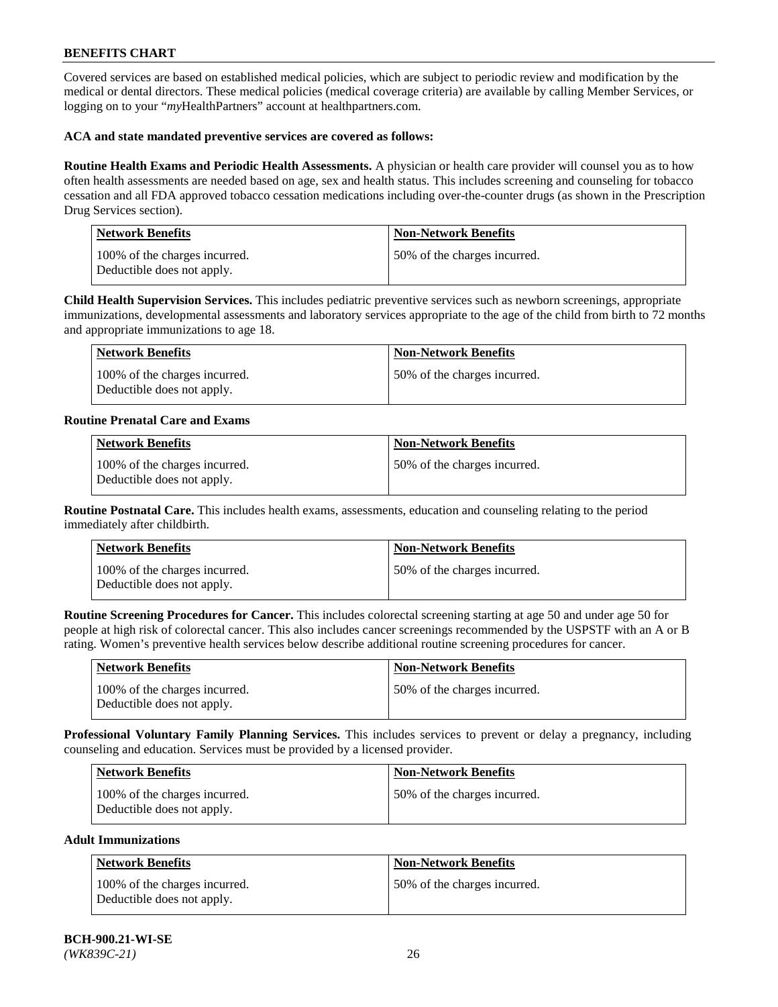Covered services are based on established medical policies, which are subject to periodic review and modification by the medical or dental directors. These medical policies (medical coverage criteria) are available by calling Member Services, or logging on to your "*my*HealthPartners" account at [healthpartners.com.](https://www.healthpartners.com/hp/index.html)

### **ACA and state mandated preventive services are covered as follows:**

**Routine Health Exams and Periodic Health Assessments.** A physician or health care provider will counsel you as to how often health assessments are needed based on age, sex and health status. This includes screening and counseling for tobacco cessation and all FDA approved tobacco cessation medications including over-the-counter drugs (as shown in the Prescription Drug Services section).

| <b>Network Benefits</b>                                     | <b>Non-Network Benefits</b>  |
|-------------------------------------------------------------|------------------------------|
| 100% of the charges incurred.<br>Deductible does not apply. | 50% of the charges incurred. |

**Child Health Supervision Services.** This includes pediatric preventive services such as newborn screenings, appropriate immunizations, developmental assessments and laboratory services appropriate to the age of the child from birth to 72 months and appropriate immunizations to age 18.

| Network Benefits                                            | Non-Network Benefits         |
|-------------------------------------------------------------|------------------------------|
| 100% of the charges incurred.<br>Deductible does not apply. | 50% of the charges incurred. |

### **Routine Prenatal Care and Exams**

| <b>Network Benefits</b>                                     | <b>Non-Network Benefits</b>  |
|-------------------------------------------------------------|------------------------------|
| 100% of the charges incurred.<br>Deductible does not apply. | 50% of the charges incurred. |

**Routine Postnatal Care.** This includes health exams, assessments, education and counseling relating to the period immediately after childbirth.

| Network Benefits                                            | <b>Non-Network Benefits</b>  |
|-------------------------------------------------------------|------------------------------|
| 100% of the charges incurred.<br>Deductible does not apply. | 50% of the charges incurred. |

**Routine Screening Procedures for Cancer.** This includes colorectal screening starting at age 50 and under age 50 for people at high risk of colorectal cancer. This also includes cancer screenings recommended by the USPSTF with an A or B rating. Women's preventive health services below describe additional routine screening procedures for cancer.

| <b>Network Benefits</b>                                     | Non-Network Benefits         |
|-------------------------------------------------------------|------------------------------|
| 100% of the charges incurred.<br>Deductible does not apply. | 50% of the charges incurred. |

**Professional Voluntary Family Planning Services.** This includes services to prevent or delay a pregnancy, including counseling and education. Services must be provided by a licensed provider.

| <b>Network Benefits</b>                                     | <b>Non-Network Benefits</b>   |
|-------------------------------------------------------------|-------------------------------|
| 100% of the charges incurred.<br>Deductible does not apply. | 150% of the charges incurred. |

#### **Adult Immunizations**

| Network Benefits                                            | <b>Non-Network Benefits</b>  |
|-------------------------------------------------------------|------------------------------|
| 100% of the charges incurred.<br>Deductible does not apply. | 50% of the charges incurred. |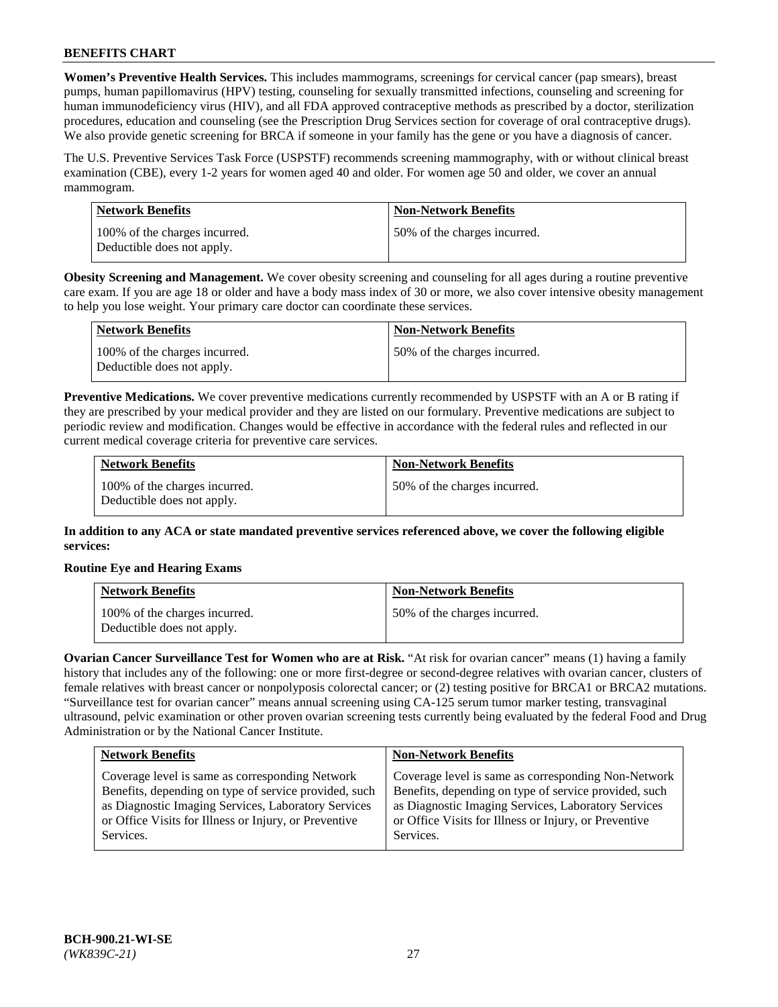**Women's Preventive Health Services.** This includes mammograms, screenings for cervical cancer (pap smears), breast pumps, human papillomavirus (HPV) testing, counseling for sexually transmitted infections, counseling and screening for human immunodeficiency virus (HIV), and all FDA approved contraceptive methods as prescribed by a doctor, sterilization procedures, education and counseling (see the Prescription Drug Services section for coverage of oral contraceptive drugs). We also provide genetic screening for BRCA if someone in your family has the gene or you have a diagnosis of cancer.

The U.S. Preventive Services Task Force (USPSTF) recommends screening mammography, with or without clinical breast examination (CBE), every 1-2 years for women aged 40 and older. For women age 50 and older, we cover an annual mammogram.

| Network Benefits                                            | <b>Non-Network Benefits</b>  |
|-------------------------------------------------------------|------------------------------|
| 100% of the charges incurred.<br>Deductible does not apply. | 50% of the charges incurred. |

**Obesity Screening and Management.** We cover obesity screening and counseling for all ages during a routine preventive care exam. If you are age 18 or older and have a body mass index of 30 or more, we also cover intensive obesity management to help you lose weight. Your primary care doctor can coordinate these services.

| Network Benefits                                            | <b>Non-Network Benefits</b>  |
|-------------------------------------------------------------|------------------------------|
| 100% of the charges incurred.<br>Deductible does not apply. | 50% of the charges incurred. |

**Preventive Medications.** We cover preventive medications currently recommended by USPSTF with an A or B rating if they are prescribed by your medical provider and they are listed on our formulary. Preventive medications are subject to periodic review and modification. Changes would be effective in accordance with the federal rules and reflected in our current medical coverage criteria for preventive care services.

| <b>Network Benefits</b>                                     | <b>Non-Network Benefits</b>  |
|-------------------------------------------------------------|------------------------------|
| 100% of the charges incurred.<br>Deductible does not apply. | 50% of the charges incurred. |

**In addition to any ACA or state mandated preventive services referenced above, we cover the following eligible services:**

## **Routine Eye and Hearing Exams**

| <b>Network Benefits</b>                                     | <b>Non-Network Benefits</b>  |
|-------------------------------------------------------------|------------------------------|
| 100% of the charges incurred.<br>Deductible does not apply. | 50% of the charges incurred. |

**Ovarian Cancer Surveillance Test for Women who are at Risk.** "At risk for ovarian cancer" means (1) having a family history that includes any of the following: one or more first-degree or second-degree relatives with ovarian cancer, clusters of female relatives with breast cancer or nonpolyposis colorectal cancer; or (2) testing positive for BRCA1 or BRCA2 mutations. "Surveillance test for ovarian cancer" means annual screening using CA-125 serum tumor marker testing, transvaginal ultrasound, pelvic examination or other proven ovarian screening tests currently being evaluated by the federal Food and Drug Administration or by the National Cancer Institute.

| <b>Network Benefits</b>                               | <b>Non-Network Benefits</b>                           |
|-------------------------------------------------------|-------------------------------------------------------|
| Coverage level is same as corresponding Network       | Coverage level is same as corresponding Non-Network   |
| Benefits, depending on type of service provided, such | Benefits, depending on type of service provided, such |
| as Diagnostic Imaging Services, Laboratory Services   | as Diagnostic Imaging Services, Laboratory Services   |
| or Office Visits for Illness or Injury, or Preventive | or Office Visits for Illness or Injury, or Preventive |
| Services.                                             | Services.                                             |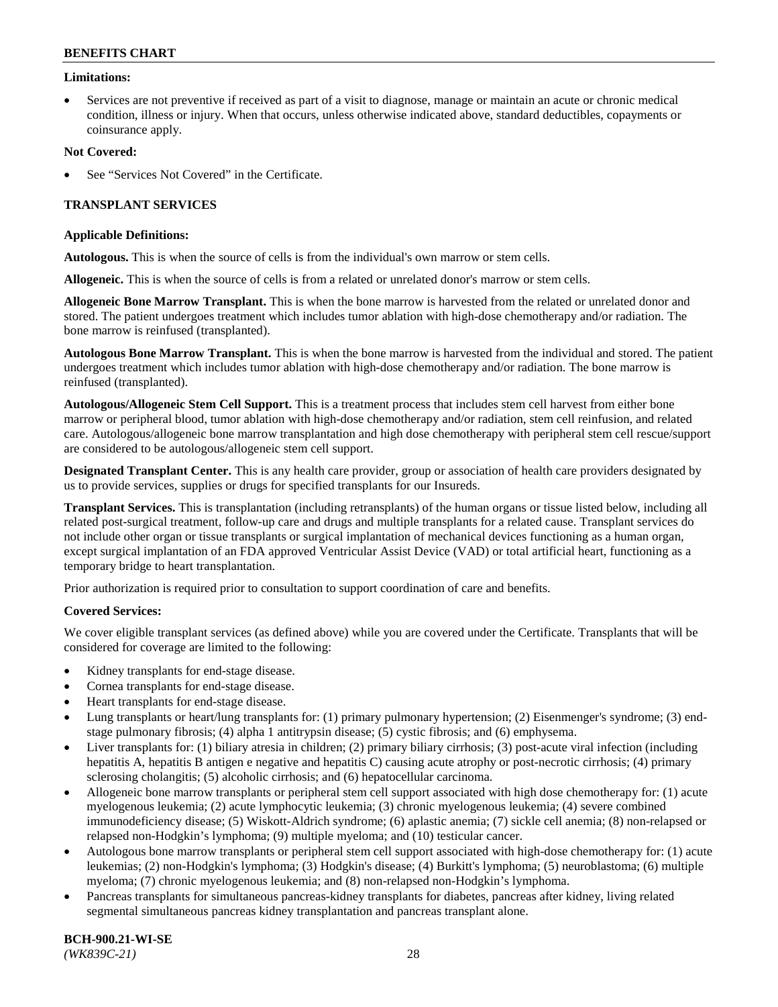### **Limitations:**

• Services are not preventive if received as part of a visit to diagnose, manage or maintain an acute or chronic medical condition, illness or injury. When that occurs, unless otherwise indicated above, standard deductibles, copayments or coinsurance apply.

### **Not Covered:**

See "Services Not Covered" in the Certificate.

## **TRANSPLANT SERVICES**

### **Applicable Definitions:**

**Autologous.** This is when the source of cells is from the individual's own marrow or stem cells.

**Allogeneic.** This is when the source of cells is from a related or unrelated donor's marrow or stem cells.

**Allogeneic Bone Marrow Transplant.** This is when the bone marrow is harvested from the related or unrelated donor and stored. The patient undergoes treatment which includes tumor ablation with high-dose chemotherapy and/or radiation. The bone marrow is reinfused (transplanted).

**Autologous Bone Marrow Transplant.** This is when the bone marrow is harvested from the individual and stored. The patient undergoes treatment which includes tumor ablation with high-dose chemotherapy and/or radiation. The bone marrow is reinfused (transplanted).

**Autologous/Allogeneic Stem Cell Support.** This is a treatment process that includes stem cell harvest from either bone marrow or peripheral blood, tumor ablation with high-dose chemotherapy and/or radiation, stem cell reinfusion, and related care. Autologous/allogeneic bone marrow transplantation and high dose chemotherapy with peripheral stem cell rescue/support are considered to be autologous/allogeneic stem cell support.

**Designated Transplant Center.** This is any health care provider, group or association of health care providers designated by us to provide services, supplies or drugs for specified transplants for our Insureds.

**Transplant Services.** This is transplantation (including retransplants) of the human organs or tissue listed below, including all related post-surgical treatment, follow-up care and drugs and multiple transplants for a related cause. Transplant services do not include other organ or tissue transplants or surgical implantation of mechanical devices functioning as a human organ, except surgical implantation of an FDA approved Ventricular Assist Device (VAD) or total artificial heart, functioning as a temporary bridge to heart transplantation.

Prior authorization is required prior to consultation to support coordination of care and benefits.

## **Covered Services:**

We cover eligible transplant services (as defined above) while you are covered under the Certificate. Transplants that will be considered for coverage are limited to the following:

- Kidney transplants for end-stage disease.
- Cornea transplants for end-stage disease.
- Heart transplants for end-stage disease.
- Lung transplants or heart/lung transplants for: (1) primary pulmonary hypertension; (2) Eisenmenger's syndrome; (3) endstage pulmonary fibrosis; (4) alpha 1 antitrypsin disease; (5) cystic fibrosis; and (6) emphysema.
- Liver transplants for: (1) biliary atresia in children; (2) primary biliary cirrhosis; (3) post-acute viral infection (including hepatitis A, hepatitis B antigen e negative and hepatitis C) causing acute atrophy or post-necrotic cirrhosis; (4) primary sclerosing cholangitis; (5) alcoholic cirrhosis; and (6) hepatocellular carcinoma.
- Allogeneic bone marrow transplants or peripheral stem cell support associated with high dose chemotherapy for: (1) acute myelogenous leukemia; (2) acute lymphocytic leukemia; (3) chronic myelogenous leukemia; (4) severe combined immunodeficiency disease; (5) Wiskott-Aldrich syndrome; (6) aplastic anemia; (7) sickle cell anemia; (8) non-relapsed or relapsed non-Hodgkin's lymphoma; (9) multiple myeloma; and (10) testicular cancer.
- Autologous bone marrow transplants or peripheral stem cell support associated with high-dose chemotherapy for: (1) acute leukemias; (2) non-Hodgkin's lymphoma; (3) Hodgkin's disease; (4) Burkitt's lymphoma; (5) neuroblastoma; (6) multiple myeloma; (7) chronic myelogenous leukemia; and (8) non-relapsed non-Hodgkin's lymphoma.
- Pancreas transplants for simultaneous pancreas-kidney transplants for diabetes, pancreas after kidney, living related segmental simultaneous pancreas kidney transplantation and pancreas transplant alone.